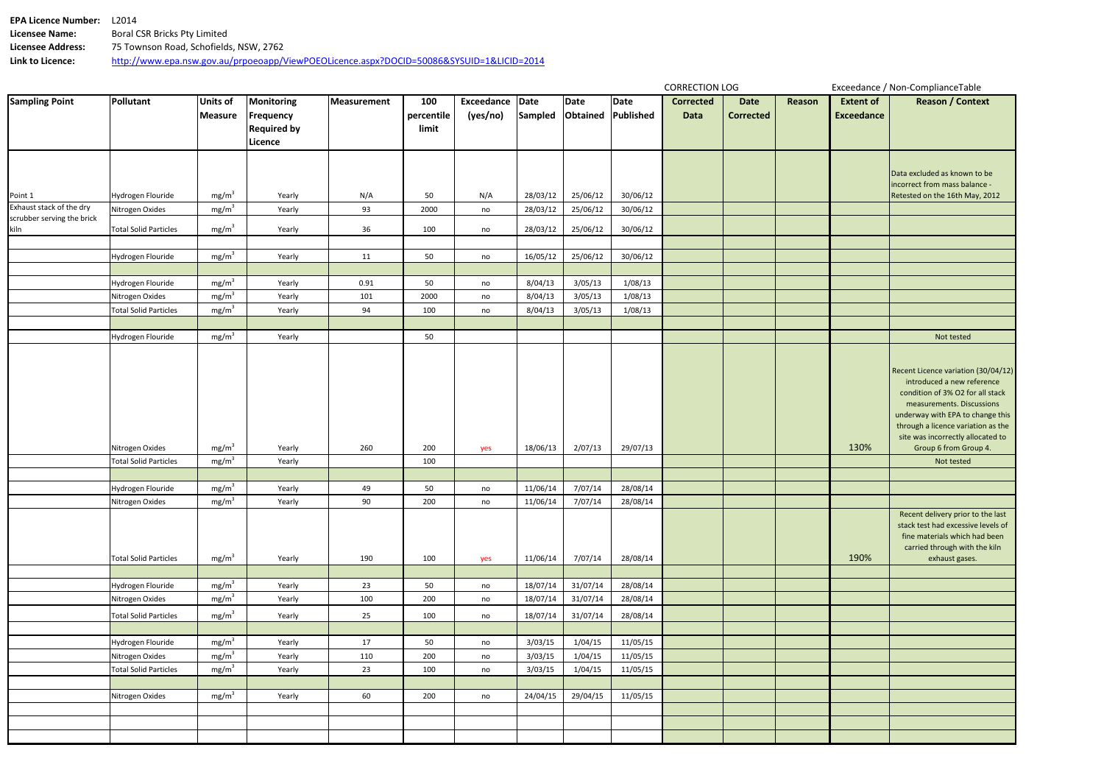| <b>EPA Licence Number:</b> | 12014                                                                                    |
|----------------------------|------------------------------------------------------------------------------------------|
| Licensee Name:             | Boral CSR Bricks Pty Limited                                                             |
| Licensee Address:          | 75 Townson Road, Schofields, NSW, 2762                                                   |
| Link to Licence:           | http://www.epa.nsw.gov.au/prpoeoapp/ViewPOEOLicence.aspx?DOCID=50086&SYSUID=1&LICID=2014 |

|                                                        |                                      |                                        |                                                      |             |                            |                             |                      |                    |                      | <b>CORRECTION LOG</b>    |                          |        | Exceedance / Non-ComplianceTable      |                                                                                                                                                                                                                                                   |  |
|--------------------------------------------------------|--------------------------------------|----------------------------------------|------------------------------------------------------|-------------|----------------------------|-----------------------------|----------------------|--------------------|----------------------|--------------------------|--------------------------|--------|---------------------------------------|---------------------------------------------------------------------------------------------------------------------------------------------------------------------------------------------------------------------------------------------------|--|
| <b>Sampling Point</b>                                  | <b>Pollutant</b>                     | Units of<br>Measure                    | Monitoring<br><b>Frequency</b><br><b>Required by</b> | Measurement | 100<br>percentile<br>limit | Exceedance Date<br>(yes/no) | Sampled              | Date<br>Obtained   | Date<br>Published    | <b>Corrected</b><br>Data | Date<br><b>Corrected</b> | Reason | <b>Extent of</b><br><b>Exceedance</b> | <b>Reason / Context</b>                                                                                                                                                                                                                           |  |
|                                                        |                                      |                                        | Licence                                              |             |                            |                             |                      |                    |                      |                          |                          |        |                                       |                                                                                                                                                                                                                                                   |  |
|                                                        |                                      |                                        |                                                      |             |                            |                             |                      |                    |                      |                          |                          |        |                                       | Data excluded as known to be                                                                                                                                                                                                                      |  |
|                                                        |                                      |                                        |                                                      |             |                            |                             |                      |                    |                      |                          |                          |        |                                       | incorrect from mass balance -                                                                                                                                                                                                                     |  |
| Point 1                                                | Hydrogen Flouride                    | mg/m <sup>3</sup>                      | Yearly                                               | N/A         | 50                         | N/A                         | 28/03/12             | 25/06/12           | 30/06/12             |                          |                          |        |                                       | Retested on the 16th May, 2012                                                                                                                                                                                                                    |  |
| Exhaust stack of the dry<br>scrubber serving the brick | Nitrogen Oxides                      | mg/m <sup>3</sup>                      | Yearly                                               | 93          | 2000                       | no                          | 28/03/12             | 25/06/12           | 30/06/12             |                          |                          |        |                                       |                                                                                                                                                                                                                                                   |  |
| kiln                                                   | <b>Total Solid Particles</b>         | mg/m <sup>3</sup>                      | Yearly                                               | 36          | 100                        | no                          | 28/03/12             | 25/06/12           | 30/06/12             |                          |                          |        |                                       |                                                                                                                                                                                                                                                   |  |
|                                                        | Hydrogen Flouride                    | mg/m <sup>3</sup>                      | Yearly                                               | 11          | 50                         | no                          | 16/05/12             | 25/06/12           | 30/06/12             |                          |                          |        |                                       |                                                                                                                                                                                                                                                   |  |
|                                                        |                                      |                                        |                                                      |             |                            |                             |                      |                    |                      |                          |                          |        |                                       |                                                                                                                                                                                                                                                   |  |
|                                                        | Hydrogen Flouride                    | mg/m <sup>3</sup>                      | Yearly                                               | 0.91        | 50                         | no                          | 8/04/13              | 3/05/13            | 1/08/13              |                          |                          |        |                                       |                                                                                                                                                                                                                                                   |  |
|                                                        | Nitrogen Oxides                      | mg/m <sup>3</sup>                      | Yearly                                               | 101         | 2000                       | no                          | 8/04/13              | 3/05/13            | 1/08/13              |                          |                          |        |                                       |                                                                                                                                                                                                                                                   |  |
|                                                        | <b>Total Solid Particles</b>         | mg/m <sup>3</sup>                      | Yearly                                               | 94          | 100                        | no                          | 8/04/13              | 3/05/13            | 1/08/13              |                          |                          |        |                                       |                                                                                                                                                                                                                                                   |  |
|                                                        |                                      |                                        |                                                      |             |                            |                             |                      |                    |                      |                          |                          |        |                                       |                                                                                                                                                                                                                                                   |  |
|                                                        | Hydrogen Flouride                    | mg/m <sup>3</sup>                      | Yearly                                               |             | 50                         |                             |                      |                    |                      |                          |                          |        |                                       | Not tested                                                                                                                                                                                                                                        |  |
|                                                        |                                      |                                        |                                                      |             |                            |                             |                      |                    |                      |                          |                          |        |                                       |                                                                                                                                                                                                                                                   |  |
|                                                        |                                      |                                        |                                                      |             |                            |                             |                      |                    |                      |                          |                          |        |                                       | Recent Licence variation (30/04/12)<br>introduced a new reference<br>condition of 3% O2 for all stack<br>measurements. Discussions<br>underway with EPA to change this<br>through a licence variation as the<br>site was incorrectly allocated to |  |
|                                                        | Nitrogen Oxides                      | mg/m <sup>3</sup>                      | Yearly                                               | 260         | 200                        | yes                         | 18/06/13             | 2/07/13            | 29/07/13             |                          |                          |        | 130%                                  | Group 6 from Group 4.                                                                                                                                                                                                                             |  |
|                                                        | <b>Total Solid Particles</b>         | mg/m <sup>3</sup>                      | Yearly                                               |             | 100                        |                             |                      |                    |                      |                          |                          |        |                                       | Not tested                                                                                                                                                                                                                                        |  |
|                                                        |                                      |                                        |                                                      |             |                            |                             |                      |                    |                      |                          |                          |        |                                       |                                                                                                                                                                                                                                                   |  |
|                                                        | Hydrogen Flouride<br>Nitrogen Oxides | mg/m <sup>3</sup><br>mg/m <sup>3</sup> | Yearly<br>Yearly                                     | 49<br>90    | 50<br>200                  | no                          | 11/06/14             | 7/07/14<br>7/07/14 | 28/08/14<br>28/08/14 |                          |                          |        |                                       |                                                                                                                                                                                                                                                   |  |
|                                                        | <b>Total Solid Particles</b>         | mg/m <sup>3</sup>                      | Yearly                                               | 190         | 100                        | no<br>yes                   | 11/06/14<br>11/06/14 | 7/07/14            | 28/08/14             |                          |                          |        | 190%                                  | Recent delivery prior to the last<br>stack test had excessive levels of<br>fine materials which had been<br>carried through with the kiln<br>exhaust gases.                                                                                       |  |
|                                                        |                                      |                                        |                                                      |             |                            |                             |                      |                    |                      |                          |                          |        |                                       |                                                                                                                                                                                                                                                   |  |
|                                                        | Hydrogen Flouride                    | mg/m <sup>3</sup>                      | Yearly                                               | 23          | 50                         | no                          | 18/07/14             | 31/07/14           | 28/08/14             |                          |                          |        |                                       |                                                                                                                                                                                                                                                   |  |
|                                                        | Nitrogen Oxides                      | mg/m <sup>3</sup>                      | Yearly                                               | 100         | 200                        | no                          | 18/07/14             | 31/07/14           | 28/08/14             |                          |                          |        |                                       |                                                                                                                                                                                                                                                   |  |
|                                                        | <b>Total Solid Particles</b>         | mg/m <sup>3</sup>                      | Yearly                                               | 25          | 100                        | no                          | 18/07/14             | 31/07/14           | 28/08/14             |                          |                          |        |                                       |                                                                                                                                                                                                                                                   |  |
|                                                        |                                      |                                        |                                                      |             |                            |                             |                      |                    |                      |                          |                          |        |                                       |                                                                                                                                                                                                                                                   |  |
|                                                        | Hydrogen Flouride                    | mg/m <sup>3</sup>                      | Yearly                                               | 17          | 50                         | no                          | 3/03/15              | 1/04/15            | 11/05/15             |                          |                          |        |                                       |                                                                                                                                                                                                                                                   |  |
|                                                        | Nitrogen Oxides                      | mg/m <sup>3</sup>                      | Yearly                                               | 110         | 200                        | no                          | 3/03/15              | 1/04/15            | 11/05/15             |                          |                          |        |                                       |                                                                                                                                                                                                                                                   |  |
|                                                        | <b>Total Solid Particles</b>         | mg/m <sup>3</sup>                      | Yearly                                               | 23          | 100                        | no                          | 3/03/15              | 1/04/15            | 11/05/15             |                          |                          |        |                                       |                                                                                                                                                                                                                                                   |  |
|                                                        |                                      |                                        |                                                      |             |                            |                             |                      |                    |                      |                          |                          |        |                                       |                                                                                                                                                                                                                                                   |  |
|                                                        | Nitrogen Oxides                      | mg/m <sup>3</sup>                      | Yearly                                               | 60          | 200                        | no                          | 24/04/15             | 29/04/15           | 11/05/15             |                          |                          |        |                                       |                                                                                                                                                                                                                                                   |  |
|                                                        |                                      |                                        |                                                      |             |                            |                             |                      |                    |                      |                          |                          |        |                                       |                                                                                                                                                                                                                                                   |  |
|                                                        |                                      |                                        |                                                      |             |                            |                             |                      |                    |                      |                          |                          |        |                                       |                                                                                                                                                                                                                                                   |  |
|                                                        |                                      |                                        |                                                      |             |                            |                             |                      |                    |                      |                          |                          |        |                                       |                                                                                                                                                                                                                                                   |  |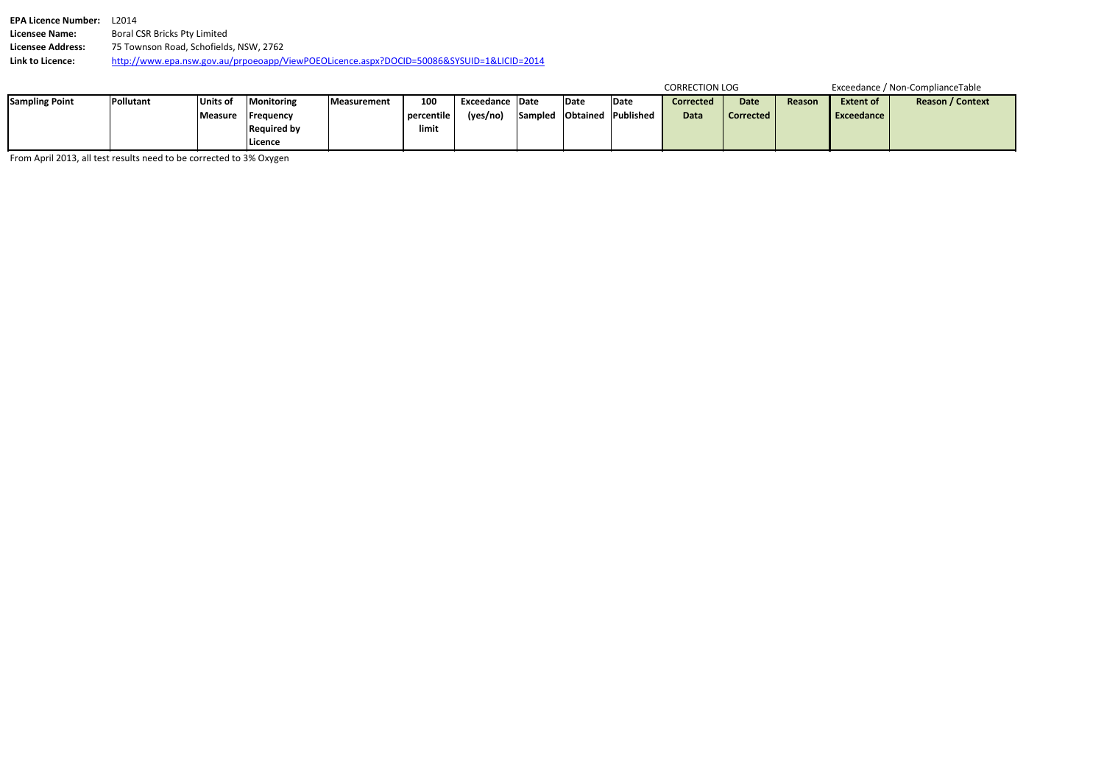| <b>EPA Licence Number:</b> | 12014                                                                                    |
|----------------------------|------------------------------------------------------------------------------------------|
| Licensee Name:             | Boral CSR Bricks Pty Limited                                                             |
| Licensee Address:          | 75 Townson Road, Schofields, NSW, 2762                                                   |
| Link to Licence:           | http://www.epa.nsw.gov.au/prpoeoapp/ViewPOEOLicence.aspx?DOCID=50086&SYSUID=1&LICID=2014 |

|                       |                                                                     |                |                    |             |            |                  |                  |      |             | <b>CORRECTION LOG</b> |             |        | Exceedance / Non-ComplianceTable |                         |  |
|-----------------------|---------------------------------------------------------------------|----------------|--------------------|-------------|------------|------------------|------------------|------|-------------|-----------------------|-------------|--------|----------------------------------|-------------------------|--|
| <b>Sampling Point</b> | <b>Pollutant</b>                                                    | Units of       | Monitoring         | Measurement | 100        | Exceedance IDate |                  | Date | <b>Date</b> | <b>Corrected</b>      | <b>Date</b> | Reason | <b>Extent of</b>                 | <b>Reason / Context</b> |  |
|                       |                                                                     | <b>Measure</b> | <b>IFrequency</b>  |             | percentile | (yes/no)         | Sampled Obtained |      | I Published | Data                  | Corrected   |        | <b>I</b> Exceedance I            |                         |  |
|                       |                                                                     |                | <b>Required by</b> |             | limit      |                  |                  |      |             |                       |             |        |                                  |                         |  |
|                       |                                                                     |                | lLicence           |             |            |                  |                  |      |             |                       |             |        |                                  |                         |  |
|                       | Erom April 2013, all test results need to be corrected to 3% Oxygen |                |                    |             |            |                  |                  |      |             |                       |             |        |                                  |                         |  |

From April 2013, all test results need to be corrected to 3% Oxygen

|  |  | Exceedance / Non-ComplianceTable |  |
|--|--|----------------------------------|--|
|--|--|----------------------------------|--|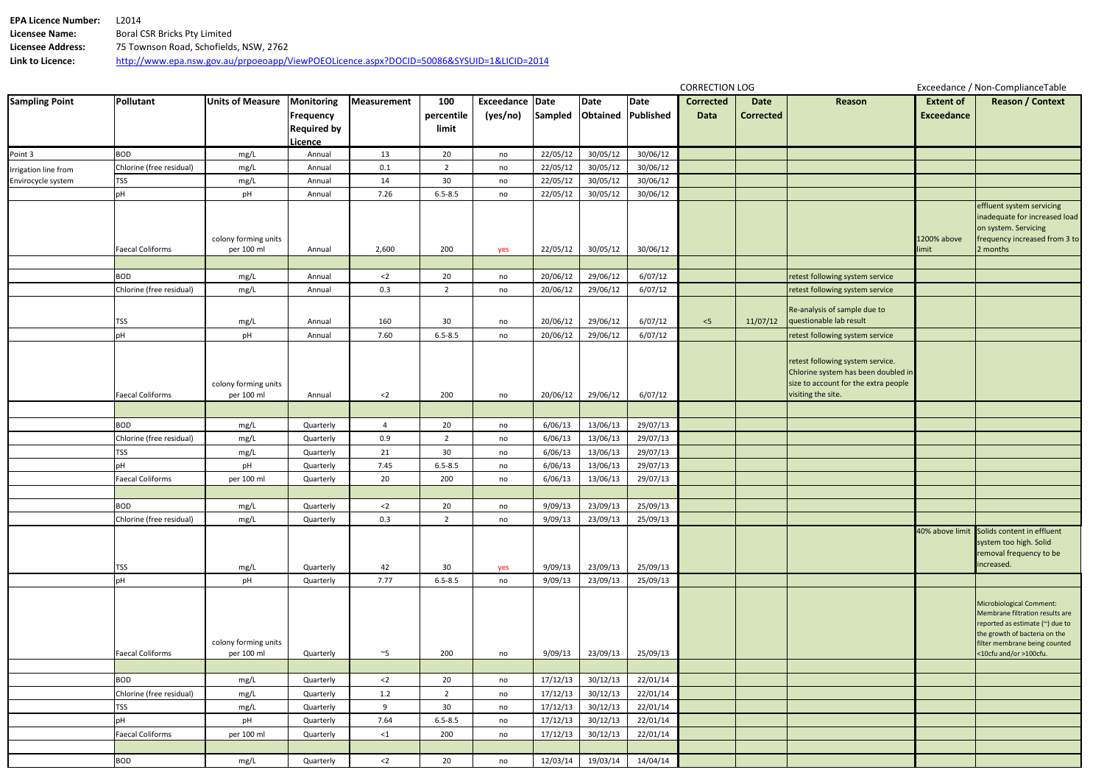| <b>EPA Licence Number:</b> | 12014                                                                                    |
|----------------------------|------------------------------------------------------------------------------------------|
| <b>Licensee Name:</b>      | Boral CSR Bricks Pty Limited                                                             |
| Licensee Address:          | 75 Townson Road, Schofields, NSW, 2762                                                   |
| Link to Licence:           | http://www.epa.nsw.gov.au/prpoeoapp/ViewPOEOLicence.aspx?DOCID=50086&SYSUID=1&LICID=2014 |

|                       |                          |                                    |                                                          |                |                            |                             |          |                  |                   | <b>CORRECTION LOG</b>    |                          |                                                                                                                                       | Exceedance / Non-ComplianceTable      |                                                                                                                                                                                            |  |  |
|-----------------------|--------------------------|------------------------------------|----------------------------------------------------------|----------------|----------------------------|-----------------------------|----------|------------------|-------------------|--------------------------|--------------------------|---------------------------------------------------------------------------------------------------------------------------------------|---------------------------------------|--------------------------------------------------------------------------------------------------------------------------------------------------------------------------------------------|--|--|
| <b>Sampling Point</b> | Pollutant                | <b>Units of Measure</b>            | Monitoring<br>Frequency<br><b>Required by</b><br>Licence | Measurement    | 100<br>percentile<br>limit | Exceedance Date<br>(yes/no) | Sampled  | Date<br>Obtained | Date<br>Published | <b>Corrected</b><br>Data | Date<br><b>Corrected</b> | Reason                                                                                                                                | <b>Extent of</b><br><b>Exceedance</b> | <b>Reason / Context</b>                                                                                                                                                                    |  |  |
| Point 3               | <b>BOD</b>               | mg/L                               | Annual                                                   | 13             | 20                         | no                          | 22/05/12 | 30/05/12         | 30/06/12          |                          |                          |                                                                                                                                       |                                       |                                                                                                                                                                                            |  |  |
| Irrigation line from  | Chlorine (free residual) | mg/L                               | Annual                                                   | 0.1            | $\overline{2}$             | no                          | 22/05/12 | 30/05/12         | 30/06/12          |                          |                          |                                                                                                                                       |                                       |                                                                                                                                                                                            |  |  |
| Envirocycle system    | <b>TSS</b>               | mg/L                               | Annual                                                   | 14             | 30                         | no                          | 22/05/12 | 30/05/12         | 30/06/12          |                          |                          |                                                                                                                                       |                                       |                                                                                                                                                                                            |  |  |
|                       | pH                       | pH                                 | Annual                                                   | 7.26           | $6.5 - 8.5$                | no                          | 22/05/12 | 30/05/12         | 30/06/12          |                          |                          |                                                                                                                                       |                                       |                                                                                                                                                                                            |  |  |
|                       | <b>Faecal Coliforms</b>  | colony forming units<br>per 100 ml | Annual                                                   | 2,600          | 200                        | yes                         | 22/05/12 | 30/05/12         | 30/06/12          |                          |                          |                                                                                                                                       | 1200% above<br>limit                  | effluent system servicing<br>inadequate for increased load<br>on system. Servicing<br>frequency increased from 3 to<br>2 months                                                            |  |  |
|                       |                          |                                    |                                                          |                |                            |                             |          |                  |                   |                          |                          |                                                                                                                                       |                                       |                                                                                                                                                                                            |  |  |
|                       | <b>BOD</b>               | mg/L                               | Annual                                                   | $<$ 2          | 20                         | no                          | 20/06/12 | 29/06/12         | 6/07/12           |                          |                          | retest following system service                                                                                                       |                                       |                                                                                                                                                                                            |  |  |
|                       | Chlorine (free residual) | mg/L                               | Annual                                                   | 0.3            | $\overline{2}$             | no                          | 20/06/12 | 29/06/12         | 6/07/12           |                          |                          | retest following system service                                                                                                       |                                       |                                                                                                                                                                                            |  |  |
|                       | <b>TSS</b>               | mg/L                               | Annual                                                   | 160            | 30                         | no                          | 20/06/12 | 29/06/12         | 6/07/12           | < 5                      | 11/07/12                 | Re-analysis of sample due to<br>questionable lab result                                                                               |                                       |                                                                                                                                                                                            |  |  |
|                       | рH                       | pH                                 | Annual                                                   | 7.60           | $6.5 - 8.5$                | no                          | 20/06/12 | 29/06/12         | 6/07/12           |                          |                          | retest following system service                                                                                                       |                                       |                                                                                                                                                                                            |  |  |
|                       | <b>Faecal Coliforms</b>  | colony forming units<br>per 100 ml | Annual                                                   | $2$            | 200                        | no                          | 20/06/12 | 29/06/12         | 6/07/12           |                          |                          | retest following system service.<br>Chlorine system has been doubled in<br>size to account for the extra people<br>visiting the site. |                                       |                                                                                                                                                                                            |  |  |
|                       |                          |                                    |                                                          |                |                            |                             |          |                  |                   |                          |                          |                                                                                                                                       |                                       |                                                                                                                                                                                            |  |  |
|                       | <b>BOD</b>               | mg/L                               | Quarterly                                                | $\overline{4}$ | 20                         | no                          | 6/06/13  | 13/06/13         | 29/07/13          |                          |                          |                                                                                                                                       |                                       |                                                                                                                                                                                            |  |  |
|                       | Chlorine (free residual) | mg/L                               | Quarterly                                                | 0.9            | $\overline{2}$             | no                          | 6/06/13  | 13/06/13         | 29/07/13          |                          |                          |                                                                                                                                       |                                       |                                                                                                                                                                                            |  |  |
|                       | <b>TSS</b>               | mg/L                               | Quarterly                                                | 21             | 30                         | no                          | 6/06/13  | 13/06/13         | 29/07/13          |                          |                          |                                                                                                                                       |                                       |                                                                                                                                                                                            |  |  |
|                       |                          | pH                                 | Quarterly                                                | 7.45           | $6.5 - 8.5$                | no                          | 6/06/13  | 13/06/13         | 29/07/13          |                          |                          |                                                                                                                                       |                                       |                                                                                                                                                                                            |  |  |
|                       | <b>Faecal Coliforms</b>  | per 100 ml                         | Quarterly                                                | 20             | 200                        | no                          | 6/06/13  | 13/06/13         | 29/07/13          |                          |                          |                                                                                                                                       |                                       |                                                                                                                                                                                            |  |  |
|                       |                          |                                    |                                                          |                |                            |                             |          |                  |                   |                          |                          |                                                                                                                                       |                                       |                                                                                                                                                                                            |  |  |
|                       | <b>BOD</b>               | mg/L                               | Quarterly                                                | $<$ 2          | 20                         | no                          | 9/09/13  | 23/09/13         | 25/09/13          |                          |                          |                                                                                                                                       |                                       |                                                                                                                                                                                            |  |  |
|                       | Chlorine (free residual) | mg/L                               | Quarterly                                                | 0.3            | $\overline{2}$             | no                          | 9/09/13  | 23/09/13         | 25/09/13          |                          |                          |                                                                                                                                       |                                       |                                                                                                                                                                                            |  |  |
|                       | TSS                      | mg/L                               | Quarterly                                                | 42             | 30                         | yes                         | 9/09/13  | 23/09/13         | 25/09/13          |                          |                          |                                                                                                                                       |                                       | 40% above limit Solids content in effluent<br>system too high. Solid<br>removal frequency to be<br>increased.                                                                              |  |  |
|                       | pH                       | pH                                 | Quarterly                                                | 7.77           | $6.5 - 8.5$                | no                          | 9/09/13  | 23/09/13         | 25/09/13          |                          |                          |                                                                                                                                       |                                       |                                                                                                                                                                                            |  |  |
|                       | <b>Faecal Coliforms</b>  | colony forming units<br>per 100 ml | Quarterly                                                | $~^\sim$ 5     | 200                        | no                          | 9/09/13  | 23/09/13         | 25/09/13          |                          |                          |                                                                                                                                       |                                       | Microbiological Comment:<br>Membrane filtration results are<br>reported as estimate (~) due to<br>the growth of bacteria on the<br>filter membrane being counted<br><10cfu and/or >100cfu. |  |  |
|                       |                          |                                    |                                                          |                |                            |                             |          |                  |                   |                          |                          |                                                                                                                                       |                                       |                                                                                                                                                                                            |  |  |
|                       | <b>BOD</b>               | mg/L                               | Quarterly                                                | $<$ 2          | 20                         | no                          | 17/12/13 | 30/12/13         | 22/01/14          |                          |                          |                                                                                                                                       |                                       |                                                                                                                                                                                            |  |  |
|                       | Chlorine (free residual) | mg/L                               | Quarterly                                                | 1.2            | $\overline{2}$             | no                          | 17/12/13 | 30/12/13         | 22/01/14          |                          |                          |                                                                                                                                       |                                       |                                                                                                                                                                                            |  |  |
|                       | <b>TSS</b>               | mg/L                               | Quarterly                                                | 9              | 30                         | no                          | 17/12/13 | 30/12/13         | 22/01/14          |                          |                          |                                                                                                                                       |                                       |                                                                                                                                                                                            |  |  |
|                       | pН                       | pH                                 | Quarterly                                                | 7.64           | $6.5 - 8.5$                | no                          | 17/12/13 | 30/12/13         | 22/01/14          |                          |                          |                                                                                                                                       |                                       |                                                                                                                                                                                            |  |  |
|                       | <b>Faecal Coliforms</b>  | per 100 ml                         | Quarterly                                                | $\leq$ 1       | 200                        | no                          | 17/12/13 | 30/12/13         | 22/01/14          |                          |                          |                                                                                                                                       |                                       |                                                                                                                                                                                            |  |  |
|                       |                          |                                    |                                                          |                |                            |                             |          |                  |                   |                          |                          |                                                                                                                                       |                                       |                                                                                                                                                                                            |  |  |
|                       | <b>BOD</b>               | mg/L                               | Quarterly                                                | $<$ 2          | 20                         | no                          | 12/03/14 | 19/03/14         | 14/04/14          |                          |                          |                                                                                                                                       |                                       |                                                                                                                                                                                            |  |  |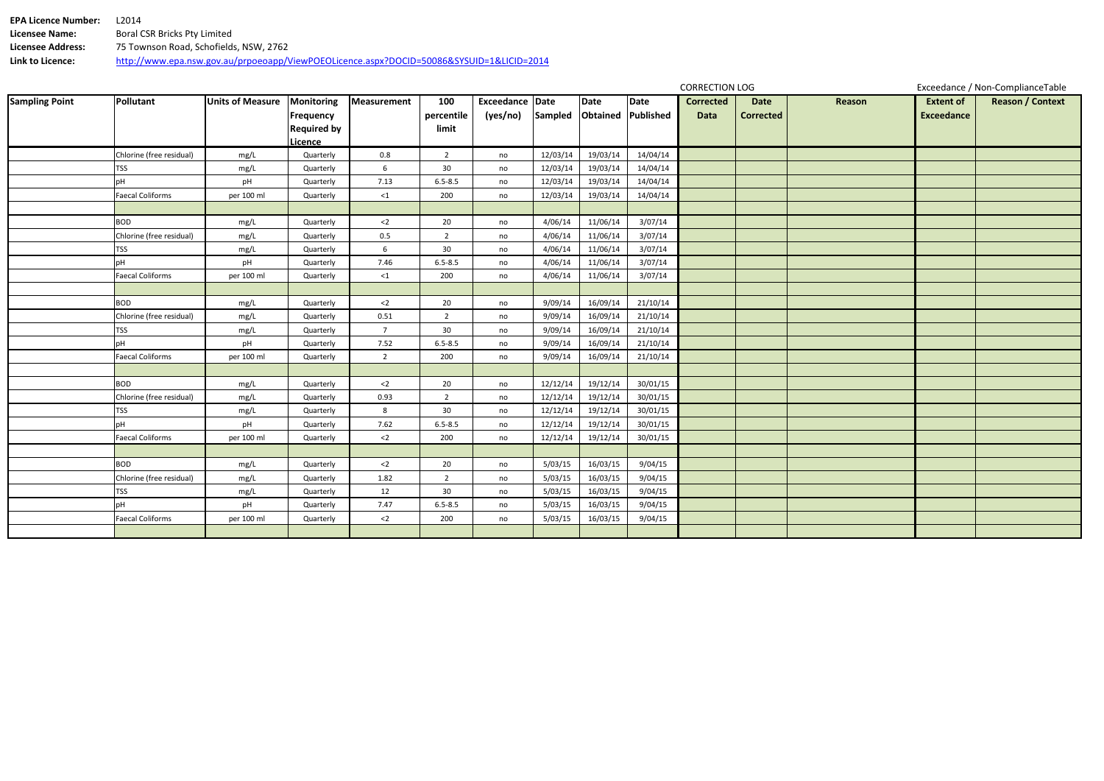| <b>EPA Licence Number:</b> | L2014                                                                                    |
|----------------------------|------------------------------------------------------------------------------------------|
| Licensee Name:             | Boral CSR Bricks Pty Limited                                                             |
| Licensee Address:          | 75 Townson Road, Schofields, NSW, 2762                                                   |
| Link to Licence:           | http://www.epa.nsw.gov.au/prpoeoapp/ViewPOEOLicence.aspx?DOCID=50086&SYSUID=1&LICID=2014 |

|                       |                          |                         |                                                                        |                 |                            |                             |          |                            |          | <b>CORRECTION LOG</b>           |                                 | Exceedance / Non-ComplianceTable |                                       |                         |
|-----------------------|--------------------------|-------------------------|------------------------------------------------------------------------|-----------------|----------------------------|-----------------------------|----------|----------------------------|----------|---------------------------------|---------------------------------|----------------------------------|---------------------------------------|-------------------------|
| <b>Sampling Point</b> | <b>Pollutant</b>         | <b>Units of Measure</b> | <b>Monitoring</b><br>Frequency<br><b>Required by</b><br><b>Licence</b> | Measurement     | 100<br>percentile<br>limit | Exceedance Date<br>(yes/no) | Sampled  | Date<br>Obtained Published | Date     | <b>Corrected</b><br><b>Data</b> | <b>Date</b><br><b>Corrected</b> | Reason                           | <b>Extent of</b><br><b>Exceedance</b> | <b>Reason / Context</b> |
|                       | Chlorine (free residual) | mg/L                    | Quarterly                                                              | $0.8\,$         | $\overline{2}$             | no                          | 12/03/14 | 19/03/14                   | 14/04/14 |                                 |                                 |                                  |                                       |                         |
|                       | TSS                      | mg/L                    | Quarterly                                                              | 6               | 30 <sup>°</sup>            | no                          | 12/03/14 | 19/03/14                   | 14/04/14 |                                 |                                 |                                  |                                       |                         |
|                       | pH                       | pH                      | Quarterly                                                              | 7.13            | $6.5 - 8.5$                | no                          | 12/03/14 | 19/03/14                   | 14/04/14 |                                 |                                 |                                  |                                       |                         |
|                       | <b>Faecal Coliforms</b>  | per 100 ml              | Quarterly                                                              | $\leq 1$        | 200                        | no                          | 12/03/14 | 19/03/14                   | 14/04/14 |                                 |                                 |                                  |                                       |                         |
|                       | <b>BOD</b>               | mg/L                    | Quarterly                                                              | $<$ 2           | $20\,$                     | no                          | 4/06/14  | 11/06/14                   | 3/07/14  |                                 |                                 |                                  |                                       |                         |
|                       | Chlorine (free residual) | mg/L                    | Quarterly                                                              | 0.5             | $\overline{2}$             | no                          | 4/06/14  | 11/06/14                   | 3/07/14  |                                 |                                 |                                  |                                       |                         |
|                       | TSS                      | mg/L                    | Quarterly                                                              | $6\overline{6}$ | 30 <sup>°</sup>            | no                          | 4/06/14  | 11/06/14                   | 3/07/14  |                                 |                                 |                                  |                                       |                         |
|                       | рH                       | pH                      | Quarterly                                                              | 7.46            | $6.5 - 8.5$                | no                          | 4/06/14  | 11/06/14                   | 3/07/14  |                                 |                                 |                                  |                                       |                         |
|                       | <b>Faecal Coliforms</b>  | per 100 ml              | Quarterly                                                              | ${<}1$          | 200                        | no                          | 4/06/14  | 11/06/14                   | 3/07/14  |                                 |                                 |                                  |                                       |                         |
|                       |                          |                         |                                                                        |                 |                            |                             |          |                            |          |                                 |                                 |                                  |                                       |                         |
|                       | <b>BOD</b>               | mg/L                    | Quarterly                                                              | $<$ 2           | 20                         | no                          | 9/09/14  | 16/09/14                   | 21/10/14 |                                 |                                 |                                  |                                       |                         |
|                       | Chlorine (free residual) | mg/L                    | Quarterly                                                              | 0.51            | $\overline{2}$             | no                          | 9/09/14  | 16/09/14                   | 21/10/14 |                                 |                                 |                                  |                                       |                         |
|                       | TSS                      | mg/L                    | Quarterly                                                              | $7\overline{ }$ | 30                         | no                          | 9/09/14  | 16/09/14                   | 21/10/14 |                                 |                                 |                                  |                                       |                         |
|                       | pH                       | pH                      | Quarterly                                                              | 7.52            | $6.5 - 8.5$                | no                          | 9/09/14  | 16/09/14                   | 21/10/14 |                                 |                                 |                                  |                                       |                         |
|                       | <b>Faecal Coliforms</b>  | per 100 ml              | Quarterly                                                              | $\overline{2}$  | 200                        | no                          | 9/09/14  | 16/09/14                   | 21/10/14 |                                 |                                 |                                  |                                       |                         |
|                       |                          |                         |                                                                        |                 |                            |                             |          |                            |          |                                 |                                 |                                  |                                       |                         |
|                       | <b>BOD</b>               | mg/L                    | Quarterly                                                              | $<$ 2           | 20                         | no                          | 12/12/14 | 19/12/14                   | 30/01/15 |                                 |                                 |                                  |                                       |                         |
|                       | Chlorine (free residual) | mg/L                    | Quarterly                                                              | 0.93            | $\overline{2}$             | no                          | 12/12/14 | 19/12/14                   | 30/01/15 |                                 |                                 |                                  |                                       |                         |
|                       | TSS                      | mg/L                    | Quarterly                                                              | 8               | 30 <sup>°</sup>            | no                          | 12/12/14 | 19/12/14                   | 30/01/15 |                                 |                                 |                                  |                                       |                         |
|                       | рH                       | pH                      | Quarterly                                                              | 7.62            | $6.5 - 8.5$                | no                          | 12/12/14 | 19/12/14                   | 30/01/15 |                                 |                                 |                                  |                                       |                         |
|                       | <b>Faecal Coliforms</b>  | per 100 ml              | Quarterly                                                              | $<$ 2           | 200                        | no                          | 12/12/14 | 19/12/14                   | 30/01/15 |                                 |                                 |                                  |                                       |                         |
|                       |                          |                         |                                                                        |                 |                            |                             |          |                            |          |                                 |                                 |                                  |                                       |                         |
|                       | <b>BOD</b>               | mg/L                    | Quarterly                                                              | $<$ 2           | 20                         | no                          | 5/03/15  | 16/03/15                   | 9/04/15  |                                 |                                 |                                  |                                       |                         |
|                       | Chlorine (free residual) | mg/L                    | Quarterly                                                              | 1.82            | $\overline{2}$             | no                          | 5/03/15  | 16/03/15                   | 9/04/15  |                                 |                                 |                                  |                                       |                         |
|                       | <b>TSS</b>               | mg/L                    | Quarterly                                                              | 12              | 30 <sup>°</sup>            | no                          | 5/03/15  | 16/03/15                   | 9/04/15  |                                 |                                 |                                  |                                       |                         |
|                       | рH                       | pH                      | Quarterly                                                              | 7.47            | $6.5 - 8.5$                | no                          | 5/03/15  | 16/03/15                   | 9/04/15  |                                 |                                 |                                  |                                       |                         |
|                       | <b>Faecal Coliforms</b>  | per 100 ml              | Quarterly                                                              | $<$ 2           | 200                        | no                          | 5/03/15  | 16/03/15                   | 9/04/15  |                                 |                                 |                                  |                                       |                         |
|                       |                          |                         |                                                                        |                 |                            |                             |          |                            |          |                                 |                                 |                                  |                                       |                         |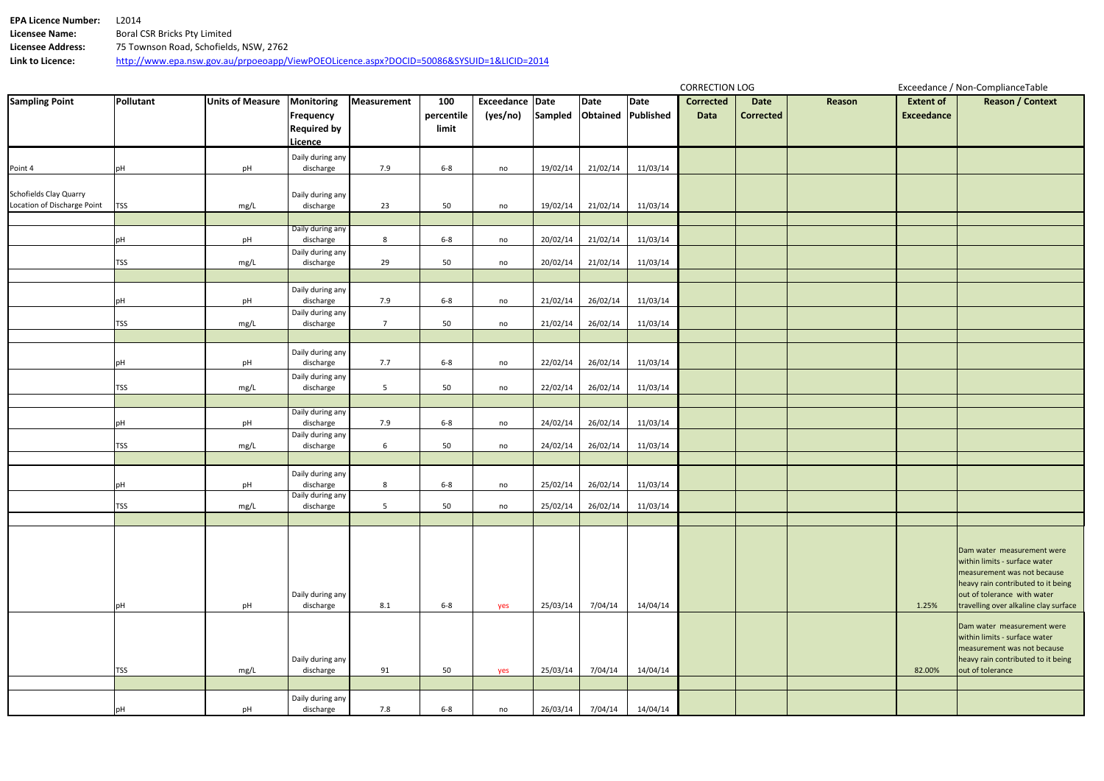| <b>EPA Licence Number:</b> | L2014                                                                                    |
|----------------------------|------------------------------------------------------------------------------------------|
| <b>Licensee Name:</b>      | Boral CSR Bricks Pty Limited                                                             |
| Licensee Address:          | 75 Townson Road, Schofields, NSW, 2762                                                   |
| Link to Licence:           | http://www.epa.nsw.gov.au/prpoeoapp/ViewPOEOLicence.aspx?DOCID=50086&SYSUID=1&LICID=2014 |

|                                                              |            |                         |                                                                 |                 |                            |                             |          |                                   |          | <b>CORRECTION LOG</b>    |                                 |        | Exceedance / Non-ComplianceTable      |                                                                                                                                                                                                          |  |
|--------------------------------------------------------------|------------|-------------------------|-----------------------------------------------------------------|-----------------|----------------------------|-----------------------------|----------|-----------------------------------|----------|--------------------------|---------------------------------|--------|---------------------------------------|----------------------------------------------------------------------------------------------------------------------------------------------------------------------------------------------------------|--|
| <b>Sampling Point</b>                                        | Pollutant  | <b>Units of Measure</b> | <b>Monitoring</b><br>Frequency<br><b>Required by</b><br>Licence | Measurement     | 100<br>percentile<br>limit | Exceedance Date<br>(yes/no) | Sampled  | Date<br><b>Obtained Published</b> | Date     | <b>Corrected</b><br>Data | <b>Date</b><br><b>Corrected</b> | Reason | <b>Extent of</b><br><b>Exceedance</b> | <b>Reason / Context</b>                                                                                                                                                                                  |  |
| Point 4                                                      | pH         | pH                      | Daily during any<br>discharge                                   | 7.9             | $6 - 8$                    | no                          | 19/02/14 | 21/02/14                          | 11/03/14 |                          |                                 |        |                                       |                                                                                                                                                                                                          |  |
| <b>Schofields Clay Quarry</b><br>Location of Discharge Point | <b>TSS</b> | mg/L                    | Daily during any<br>discharge                                   | 23              | 50                         | no                          | 19/02/14 | 21/02/14                          | 11/03/14 |                          |                                 |        |                                       |                                                                                                                                                                                                          |  |
|                                                              | pH         | pH                      | Daily during any<br>discharge                                   | $8\phantom{1}$  | $6-8$                      | no                          | 20/02/14 | 21/02/14                          | 11/03/14 |                          |                                 |        |                                       |                                                                                                                                                                                                          |  |
|                                                              | <b>TSS</b> | mg/L                    | Daily during any<br>discharge                                   | 29              | 50                         | no                          | 20/02/14 | 21/02/14                          | 11/03/14 |                          |                                 |        |                                       |                                                                                                                                                                                                          |  |
|                                                              | pH         | pH                      | Daily during any<br>discharge                                   | 7.9             | $6 - 8$                    | no                          | 21/02/14 | 26/02/14                          | 11/03/14 |                          |                                 |        |                                       |                                                                                                                                                                                                          |  |
|                                                              | <b>TSS</b> | mg/L                    | Daily during any<br>discharge                                   | $\overline{7}$  | 50                         | no                          | 21/02/14 | 26/02/14                          | 11/03/14 |                          |                                 |        |                                       |                                                                                                                                                                                                          |  |
|                                                              | pH         | pH                      | Daily during any<br>discharge                                   | 7.7             | $6 - 8$                    | no                          | 22/02/14 | 26/02/14                          | 11/03/14 |                          |                                 |        |                                       |                                                                                                                                                                                                          |  |
|                                                              | <b>TSS</b> | mg/L                    | Daily during any<br>discharge                                   | $5\phantom{.0}$ | 50                         | no                          | 22/02/14 | 26/02/14                          | 11/03/14 |                          |                                 |        |                                       |                                                                                                                                                                                                          |  |
|                                                              | pH         | pH                      | Daily during any<br>discharge                                   | 7.9             | $6 - 8$                    | no                          | 24/02/14 | 26/02/14                          | 11/03/14 |                          |                                 |        |                                       |                                                                                                                                                                                                          |  |
|                                                              | <b>TSS</b> | mg/L                    | Daily during any<br>discharge                                   | 6               | 50                         | no                          | 24/02/14 | 26/02/14                          | 11/03/14 |                          |                                 |        |                                       |                                                                                                                                                                                                          |  |
|                                                              | pH         | pH                      | Daily during any<br>discharge                                   | 8               | $6-8$                      | no                          | 25/02/14 | 26/02/14                          | 11/03/14 |                          |                                 |        |                                       |                                                                                                                                                                                                          |  |
|                                                              | <b>TSS</b> | mg/L                    | Daily during any<br>discharge                                   | $5\overline{)}$ | 50                         | no                          | 25/02/14 | 26/02/14                          | 11/03/14 |                          |                                 |        |                                       |                                                                                                                                                                                                          |  |
|                                                              | pH         | pH                      | Daily during any<br>discharge                                   | 8.1             | $6-8$                      | yes                         | 25/03/14 | 7/04/14                           | 14/04/14 |                          |                                 |        | 1.25%                                 | Dam water measurement were<br>within limits - surface water<br>measurement was not because<br>heavy rain contributed to it being<br>out of tolerance with water<br>travelling over alkaline clay surface |  |
|                                                              | <b>TSS</b> | mg/L                    | Daily during any<br>discharge                                   | 91              | 50                         | yes                         | 25/03/14 | 7/04/14                           | 14/04/14 |                          |                                 |        | 82.00%                                | Dam water measurement were<br>within limits - surface water<br>measurement was not because<br>heavy rain contributed to it being<br>out of tolerance                                                     |  |
|                                                              | pH         | pH                      | Daily during any<br>discharge                                   | 7.8             | $6-8$                      | no                          | 26/03/14 | 7/04/14                           | 14/04/14 |                          |                                 |        |                                       |                                                                                                                                                                                                          |  |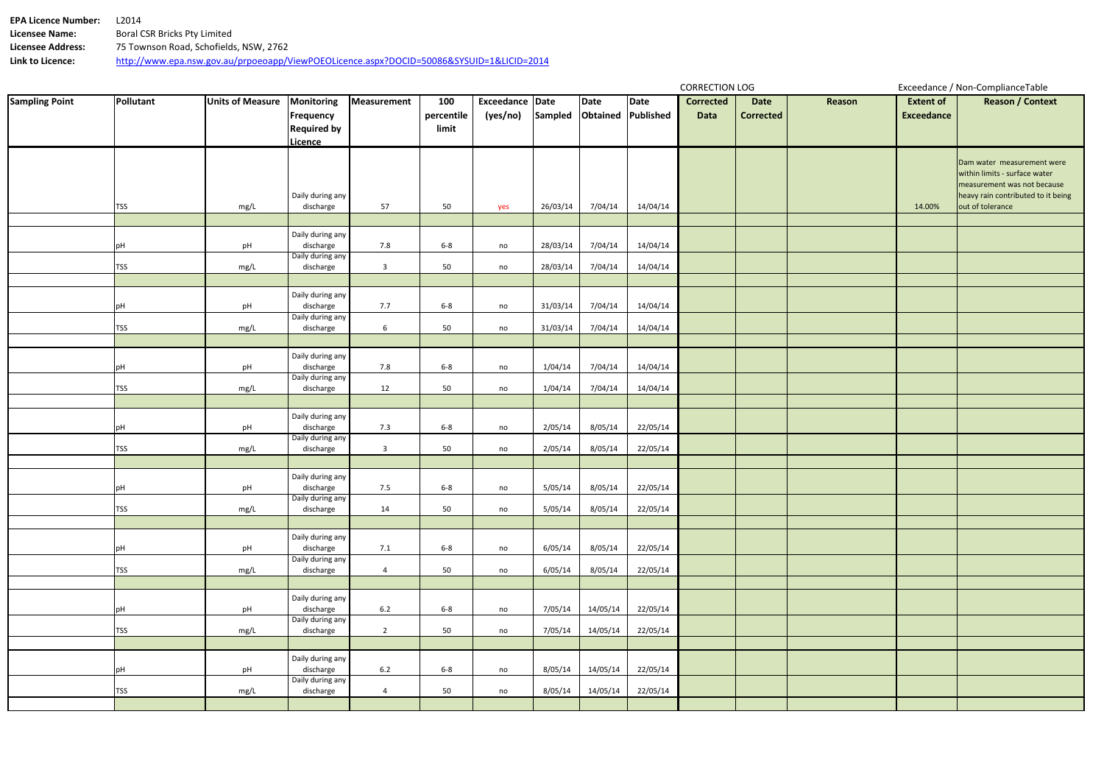**EPA Licence Number:** L2014<br>**Licensee Name:** Boral C **Licensee Name:** Boral CSR Bricks Pty Limited **Licensee Address:** 75 Townson Road, Schofields, NSW, 2762 **Link to Licence:** http://www.epa.nsw.gov.au/prpoeoapp/ViewPOEOLicence.aspx?DOCID=50086&SYSUID=1&LICID=2014

| Sampled<br>Obtained Published<br>percentile<br>(yes/no)<br>Frequency<br>Data<br><b>Corrected</b>                      | <b>Exceedance</b> |                                                                   |
|-----------------------------------------------------------------------------------------------------------------------|-------------------|-------------------------------------------------------------------|
| <b>Required by</b><br>limit                                                                                           |                   |                                                                   |
| Licence                                                                                                               |                   |                                                                   |
|                                                                                                                       |                   | Dam water measurement were                                        |
|                                                                                                                       |                   | within limits - surface water                                     |
| Daily during any                                                                                                      |                   | measurement was not because<br>heavy rain contributed to it being |
| discharge<br>57<br>50<br>26/03/14<br>7/04/14<br>14/04/14<br>TSS<br>yes<br>mg/L                                        | 14.00%            | out of tolerance                                                  |
| Daily during any                                                                                                      |                   |                                                                   |
| 7.8<br>discharge<br>$6-8$<br>28/03/14<br>7/04/14<br>14/04/14<br>pH<br>pH<br>no<br>Daily during any                    |                   |                                                                   |
| 50<br><b>TSS</b><br>discharge<br>$\overline{\mathbf{3}}$<br>28/03/14<br>7/04/14<br>14/04/14<br>mg/L<br>no             |                   |                                                                   |
|                                                                                                                       |                   |                                                                   |
| Daily during any<br>discharge<br>7.7<br>14/04/14<br>$6-8$<br>31/03/14<br>7/04/14<br>pH<br>pH<br>no                    |                   |                                                                   |
| Daily during any<br><b>TSS</b><br>discharge<br>$6\phantom{.}6$<br>50<br>31/03/14<br>7/04/14<br>14/04/14<br>mg/L<br>no |                   |                                                                   |
|                                                                                                                       |                   |                                                                   |
| Daily during any                                                                                                      |                   |                                                                   |
| discharge<br>7.8<br>$6-8$<br>1/04/14<br>7/04/14<br>14/04/14<br>pH<br>pH<br>no<br>Daily during any                     |                   |                                                                   |
| 50<br><b>TSS</b><br>discharge<br>12<br>1/04/14<br>7/04/14<br>14/04/14<br>mg/L<br>no                                   |                   |                                                                   |
| Daily during any                                                                                                      |                   |                                                                   |
| discharge<br>7.3<br>2/05/14<br>22/05/14<br>pH<br>$6-8$<br>8/05/14<br>pH<br>no                                         |                   |                                                                   |
| Daily during any<br>discharge<br><b>TSS</b><br>50<br>2/05/14<br>8/05/14<br>22/05/14<br>$\overline{3}$<br>mg/L<br>no   |                   |                                                                   |
|                                                                                                                       |                   |                                                                   |
| Daily during any<br>discharge<br>7.5<br>$6-8$<br>5/05/14<br>8/05/14<br>22/05/14<br>pH<br>pH<br>no                     |                   |                                                                   |
| Daily during any<br>22/05/14<br>discharge<br>5/05/14<br>8/05/14<br>mg/L<br>14<br>50<br> TSS <br>no                    |                   |                                                                   |
|                                                                                                                       |                   |                                                                   |
| Daily during any<br>discharge                                                                                         |                   |                                                                   |
| 7.1<br>pH<br>$6-8$<br>6/05/14<br>22/05/14<br>pH<br>8/05/14<br>no<br>Daily during any                                  |                   |                                                                   |
| <b>TSS</b><br>discharge<br>50<br>22/05/14<br>mg/L<br>$\overline{4}$<br>6/05/14<br>8/05/14<br>no                       |                   |                                                                   |
| Daily during any                                                                                                      |                   |                                                                   |
| discharge<br>6.2<br>$6-8$<br>22/05/14<br>7/05/14<br>14/05/14<br>pH<br>pH<br>no<br>Daily during any                    |                   |                                                                   |
| 50<br>discharge<br>$\overline{2}$<br><b>TSS</b><br>7/05/14<br>14/05/14<br>22/05/14<br>mg/L<br>no                      |                   |                                                                   |
|                                                                                                                       |                   |                                                                   |
| Daily during any<br>discharge<br>6.2<br>$6 - 8$<br>8/05/14<br>14/05/14<br>22/05/14<br>pH<br>pH<br>no                  |                   |                                                                   |
| Daily during any<br>discharge<br>50<br>22/05/14<br><b>TSS</b><br>8/05/14<br>14/05/14<br>mg/L<br>$\overline{4}$<br>no  |                   |                                                                   |
|                                                                                                                       |                   |                                                                   |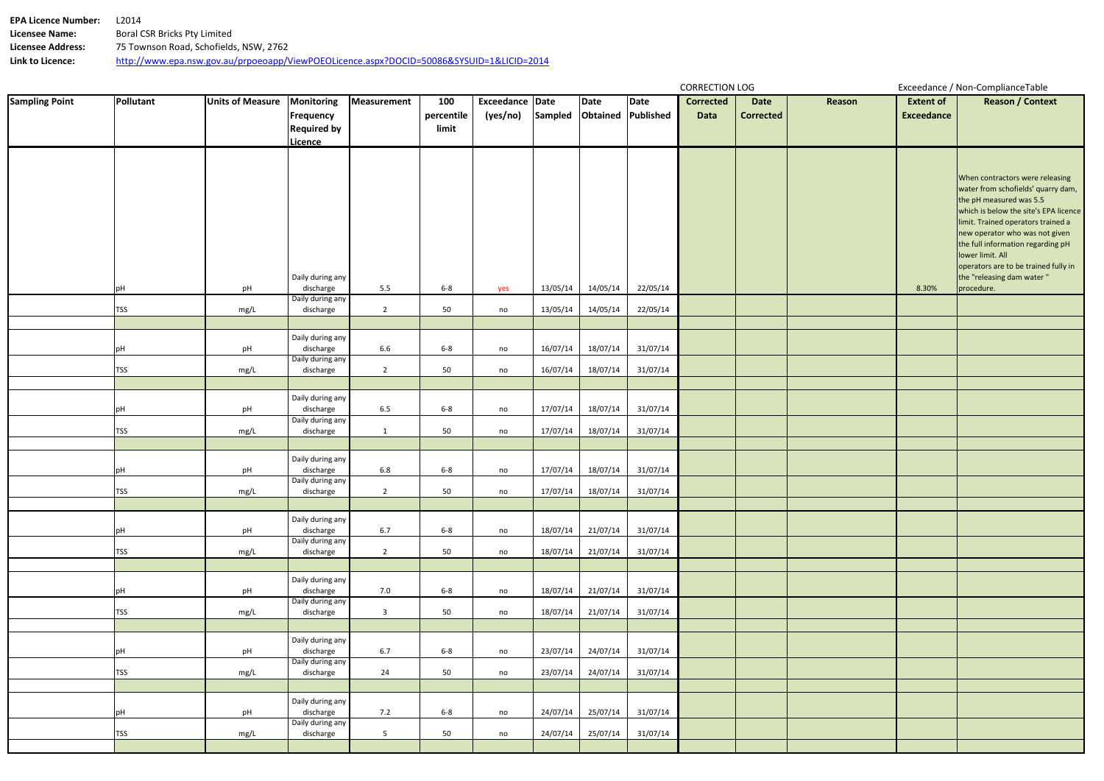**EPA Licence Number:** L2014<br>**Licensee Name:** Boral C **Licensee Name:** Boral CSR Bricks Pty Limited **Licensee Address:** 75 Townson Road, Schofields, NSW, 2762 **Link to Licence:** http://www.epa.nsw.gov.au/prpoeoapp/ViewPOEOLicence.aspx?DOCID=50086&SYSUID=1&LICID=2014

| Exceedance Date<br><b>Sampled</b><br><b>Obtained Published</b><br>percentile<br>(yes/no)<br><b>Exceedance</b><br>Frequency<br>Data<br><b>Corrected</b><br><b>Required by</b><br>limit<br><b>Licence</b><br>When contractors were releasing<br>water from schofields' quarry dam,<br>the pH measured was 5.5<br>which is below the site's EPA licence<br>limit. Trained operators trained a<br>new operator who was not given<br>the full information regarding pH<br>lower limit. All<br>operators are to be trained fully in<br>the "releasing dam water"<br>Daily during any<br>5.5<br>22/05/14<br>discharge<br>$6-8$<br>13/05/14<br>14/05/14<br>8.30%<br>pH<br>procedure.<br>yes<br>pH<br>Daily during any<br>14/05/14<br>22/05/14<br>discharge<br>$\overline{2}$<br>50<br>13/05/14<br>TSS<br>mg/L<br>no<br>Daily during any<br>6.6<br>18/07/14<br>31/07/14<br>discharge<br>$6-8$<br>16/07/14<br>pH<br>no<br>pH<br>Daily during any<br>50<br>discharge<br>16/07/14<br>18/07/14<br>31/07/14<br><b>TSS</b><br>$\overline{2}$<br>mg/L<br>no<br>Daily during any<br>discharge<br>6.5<br>$6-8$<br>17/07/14<br>18/07/14<br>31/07/14<br>pH<br>no<br>pH<br>Daily during any<br>50<br>31/07/14<br>discharge<br>17/07/14<br>18/07/14<br>TSS<br>$\mathbf{1}$<br>mg/L<br>no<br>Daily during any<br>discharge<br>6.8<br>$6-8$<br>17/07/14<br>18/07/14<br>31/07/14<br>pH<br>no<br>pH<br>Daily during any<br>discharge<br>50<br>17/07/14<br>18/07/14<br>31/07/14<br>TSS<br>$\overline{2}$<br>no<br>mg/L<br>Daily during any<br>discharge<br>6.7<br>$6-8$<br>18/07/14<br>21/07/14<br>31/07/14<br>pH<br>pH<br>no<br>Daily during any<br>discharge<br>50<br>TSS<br>$\overline{2}$<br>21/07/14<br>31/07/14<br>mg/L<br>18/07/14<br>no<br>Daily during any<br>discharge<br>7.0<br>$6-8$<br>31/07/14<br>18/07/14<br>21/07/14<br>pH<br>no<br>pH<br>Daily during any<br>50<br>31/07/14<br>TSS<br>mg/L<br>discharge<br>$\overline{3}$<br>18/07/14<br>21/07/14<br>no<br>Daily during any<br>6.7<br>$6-8$<br>discharge<br>23/07/14<br>24/07/14<br>31/07/14<br>pH<br>no<br>pH<br>Daily during any<br>24<br>50<br>31/07/14<br>TSS<br>discharge<br>23/07/14<br>24/07/14<br>mg/L<br>no<br>Daily during any<br>7.2<br>$6-8$<br>31/07/14<br>pH<br>discharge<br>24/07/14<br>25/07/14<br>no<br>pH<br>Daily during any<br>TSS<br>50<br>discharge<br>$5\overline{)}$<br>24/07/14<br>25/07/14<br>31/07/14<br>mg/L<br>no | <b>Sampling Point</b> | Pollutant | <b>Units of Measure</b> | <b>Monitoring</b> | Measurement | 100 |  | Date | Date | <b>COMPOSITION</b><br><b>Corrected</b> | <b>Date</b> | Reason | <b>Extent of</b> | Executative, Non-compliance rapid<br><b>Reason / Context</b> |
|--------------------------------------------------------------------------------------------------------------------------------------------------------------------------------------------------------------------------------------------------------------------------------------------------------------------------------------------------------------------------------------------------------------------------------------------------------------------------------------------------------------------------------------------------------------------------------------------------------------------------------------------------------------------------------------------------------------------------------------------------------------------------------------------------------------------------------------------------------------------------------------------------------------------------------------------------------------------------------------------------------------------------------------------------------------------------------------------------------------------------------------------------------------------------------------------------------------------------------------------------------------------------------------------------------------------------------------------------------------------------------------------------------------------------------------------------------------------------------------------------------------------------------------------------------------------------------------------------------------------------------------------------------------------------------------------------------------------------------------------------------------------------------------------------------------------------------------------------------------------------------------------------------------------------------------------------------------------------------------------------------------------------------------------------------------------------------------------------------------------------------------------------------------------------------------------------------------------------------------------------------------------------------------------------------------------------------------------------------------------------------------|-----------------------|-----------|-------------------------|-------------------|-------------|-----|--|------|------|----------------------------------------|-------------|--------|------------------|--------------------------------------------------------------|
|                                                                                                                                                                                                                                                                                                                                                                                                                                                                                                                                                                                                                                                                                                                                                                                                                                                                                                                                                                                                                                                                                                                                                                                                                                                                                                                                                                                                                                                                                                                                                                                                                                                                                                                                                                                                                                                                                                                                                                                                                                                                                                                                                                                                                                                                                                                                                                                      |                       |           |                         |                   |             |     |  |      |      |                                        |             |        |                  |                                                              |
|                                                                                                                                                                                                                                                                                                                                                                                                                                                                                                                                                                                                                                                                                                                                                                                                                                                                                                                                                                                                                                                                                                                                                                                                                                                                                                                                                                                                                                                                                                                                                                                                                                                                                                                                                                                                                                                                                                                                                                                                                                                                                                                                                                                                                                                                                                                                                                                      |                       |           |                         |                   |             |     |  |      |      |                                        |             |        |                  |                                                              |
|                                                                                                                                                                                                                                                                                                                                                                                                                                                                                                                                                                                                                                                                                                                                                                                                                                                                                                                                                                                                                                                                                                                                                                                                                                                                                                                                                                                                                                                                                                                                                                                                                                                                                                                                                                                                                                                                                                                                                                                                                                                                                                                                                                                                                                                                                                                                                                                      |                       |           |                         |                   |             |     |  |      |      |                                        |             |        |                  |                                                              |
|                                                                                                                                                                                                                                                                                                                                                                                                                                                                                                                                                                                                                                                                                                                                                                                                                                                                                                                                                                                                                                                                                                                                                                                                                                                                                                                                                                                                                                                                                                                                                                                                                                                                                                                                                                                                                                                                                                                                                                                                                                                                                                                                                                                                                                                                                                                                                                                      |                       |           |                         |                   |             |     |  |      |      |                                        |             |        |                  |                                                              |
|                                                                                                                                                                                                                                                                                                                                                                                                                                                                                                                                                                                                                                                                                                                                                                                                                                                                                                                                                                                                                                                                                                                                                                                                                                                                                                                                                                                                                                                                                                                                                                                                                                                                                                                                                                                                                                                                                                                                                                                                                                                                                                                                                                                                                                                                                                                                                                                      |                       |           |                         |                   |             |     |  |      |      |                                        |             |        |                  |                                                              |
|                                                                                                                                                                                                                                                                                                                                                                                                                                                                                                                                                                                                                                                                                                                                                                                                                                                                                                                                                                                                                                                                                                                                                                                                                                                                                                                                                                                                                                                                                                                                                                                                                                                                                                                                                                                                                                                                                                                                                                                                                                                                                                                                                                                                                                                                                                                                                                                      |                       |           |                         |                   |             |     |  |      |      |                                        |             |        |                  |                                                              |
|                                                                                                                                                                                                                                                                                                                                                                                                                                                                                                                                                                                                                                                                                                                                                                                                                                                                                                                                                                                                                                                                                                                                                                                                                                                                                                                                                                                                                                                                                                                                                                                                                                                                                                                                                                                                                                                                                                                                                                                                                                                                                                                                                                                                                                                                                                                                                                                      |                       |           |                         |                   |             |     |  |      |      |                                        |             |        |                  |                                                              |
|                                                                                                                                                                                                                                                                                                                                                                                                                                                                                                                                                                                                                                                                                                                                                                                                                                                                                                                                                                                                                                                                                                                                                                                                                                                                                                                                                                                                                                                                                                                                                                                                                                                                                                                                                                                                                                                                                                                                                                                                                                                                                                                                                                                                                                                                                                                                                                                      |                       |           |                         |                   |             |     |  |      |      |                                        |             |        |                  |                                                              |
|                                                                                                                                                                                                                                                                                                                                                                                                                                                                                                                                                                                                                                                                                                                                                                                                                                                                                                                                                                                                                                                                                                                                                                                                                                                                                                                                                                                                                                                                                                                                                                                                                                                                                                                                                                                                                                                                                                                                                                                                                                                                                                                                                                                                                                                                                                                                                                                      |                       |           |                         |                   |             |     |  |      |      |                                        |             |        |                  |                                                              |
|                                                                                                                                                                                                                                                                                                                                                                                                                                                                                                                                                                                                                                                                                                                                                                                                                                                                                                                                                                                                                                                                                                                                                                                                                                                                                                                                                                                                                                                                                                                                                                                                                                                                                                                                                                                                                                                                                                                                                                                                                                                                                                                                                                                                                                                                                                                                                                                      |                       |           |                         |                   |             |     |  |      |      |                                        |             |        |                  |                                                              |
|                                                                                                                                                                                                                                                                                                                                                                                                                                                                                                                                                                                                                                                                                                                                                                                                                                                                                                                                                                                                                                                                                                                                                                                                                                                                                                                                                                                                                                                                                                                                                                                                                                                                                                                                                                                                                                                                                                                                                                                                                                                                                                                                                                                                                                                                                                                                                                                      |                       |           |                         |                   |             |     |  |      |      |                                        |             |        |                  |                                                              |
|                                                                                                                                                                                                                                                                                                                                                                                                                                                                                                                                                                                                                                                                                                                                                                                                                                                                                                                                                                                                                                                                                                                                                                                                                                                                                                                                                                                                                                                                                                                                                                                                                                                                                                                                                                                                                                                                                                                                                                                                                                                                                                                                                                                                                                                                                                                                                                                      |                       |           |                         |                   |             |     |  |      |      |                                        |             |        |                  |                                                              |
|                                                                                                                                                                                                                                                                                                                                                                                                                                                                                                                                                                                                                                                                                                                                                                                                                                                                                                                                                                                                                                                                                                                                                                                                                                                                                                                                                                                                                                                                                                                                                                                                                                                                                                                                                                                                                                                                                                                                                                                                                                                                                                                                                                                                                                                                                                                                                                                      |                       |           |                         |                   |             |     |  |      |      |                                        |             |        |                  |                                                              |
|                                                                                                                                                                                                                                                                                                                                                                                                                                                                                                                                                                                                                                                                                                                                                                                                                                                                                                                                                                                                                                                                                                                                                                                                                                                                                                                                                                                                                                                                                                                                                                                                                                                                                                                                                                                                                                                                                                                                                                                                                                                                                                                                                                                                                                                                                                                                                                                      |                       |           |                         |                   |             |     |  |      |      |                                        |             |        |                  |                                                              |
|                                                                                                                                                                                                                                                                                                                                                                                                                                                                                                                                                                                                                                                                                                                                                                                                                                                                                                                                                                                                                                                                                                                                                                                                                                                                                                                                                                                                                                                                                                                                                                                                                                                                                                                                                                                                                                                                                                                                                                                                                                                                                                                                                                                                                                                                                                                                                                                      |                       |           |                         |                   |             |     |  |      |      |                                        |             |        |                  |                                                              |
|                                                                                                                                                                                                                                                                                                                                                                                                                                                                                                                                                                                                                                                                                                                                                                                                                                                                                                                                                                                                                                                                                                                                                                                                                                                                                                                                                                                                                                                                                                                                                                                                                                                                                                                                                                                                                                                                                                                                                                                                                                                                                                                                                                                                                                                                                                                                                                                      |                       |           |                         |                   |             |     |  |      |      |                                        |             |        |                  |                                                              |
|                                                                                                                                                                                                                                                                                                                                                                                                                                                                                                                                                                                                                                                                                                                                                                                                                                                                                                                                                                                                                                                                                                                                                                                                                                                                                                                                                                                                                                                                                                                                                                                                                                                                                                                                                                                                                                                                                                                                                                                                                                                                                                                                                                                                                                                                                                                                                                                      |                       |           |                         |                   |             |     |  |      |      |                                        |             |        |                  |                                                              |
|                                                                                                                                                                                                                                                                                                                                                                                                                                                                                                                                                                                                                                                                                                                                                                                                                                                                                                                                                                                                                                                                                                                                                                                                                                                                                                                                                                                                                                                                                                                                                                                                                                                                                                                                                                                                                                                                                                                                                                                                                                                                                                                                                                                                                                                                                                                                                                                      |                       |           |                         |                   |             |     |  |      |      |                                        |             |        |                  |                                                              |
|                                                                                                                                                                                                                                                                                                                                                                                                                                                                                                                                                                                                                                                                                                                                                                                                                                                                                                                                                                                                                                                                                                                                                                                                                                                                                                                                                                                                                                                                                                                                                                                                                                                                                                                                                                                                                                                                                                                                                                                                                                                                                                                                                                                                                                                                                                                                                                                      |                       |           |                         |                   |             |     |  |      |      |                                        |             |        |                  |                                                              |
|                                                                                                                                                                                                                                                                                                                                                                                                                                                                                                                                                                                                                                                                                                                                                                                                                                                                                                                                                                                                                                                                                                                                                                                                                                                                                                                                                                                                                                                                                                                                                                                                                                                                                                                                                                                                                                                                                                                                                                                                                                                                                                                                                                                                                                                                                                                                                                                      |                       |           |                         |                   |             |     |  |      |      |                                        |             |        |                  |                                                              |
|                                                                                                                                                                                                                                                                                                                                                                                                                                                                                                                                                                                                                                                                                                                                                                                                                                                                                                                                                                                                                                                                                                                                                                                                                                                                                                                                                                                                                                                                                                                                                                                                                                                                                                                                                                                                                                                                                                                                                                                                                                                                                                                                                                                                                                                                                                                                                                                      |                       |           |                         |                   |             |     |  |      |      |                                        |             |        |                  |                                                              |
|                                                                                                                                                                                                                                                                                                                                                                                                                                                                                                                                                                                                                                                                                                                                                                                                                                                                                                                                                                                                                                                                                                                                                                                                                                                                                                                                                                                                                                                                                                                                                                                                                                                                                                                                                                                                                                                                                                                                                                                                                                                                                                                                                                                                                                                                                                                                                                                      |                       |           |                         |                   |             |     |  |      |      |                                        |             |        |                  |                                                              |
|                                                                                                                                                                                                                                                                                                                                                                                                                                                                                                                                                                                                                                                                                                                                                                                                                                                                                                                                                                                                                                                                                                                                                                                                                                                                                                                                                                                                                                                                                                                                                                                                                                                                                                                                                                                                                                                                                                                                                                                                                                                                                                                                                                                                                                                                                                                                                                                      |                       |           |                         |                   |             |     |  |      |      |                                        |             |        |                  |                                                              |
|                                                                                                                                                                                                                                                                                                                                                                                                                                                                                                                                                                                                                                                                                                                                                                                                                                                                                                                                                                                                                                                                                                                                                                                                                                                                                                                                                                                                                                                                                                                                                                                                                                                                                                                                                                                                                                                                                                                                                                                                                                                                                                                                                                                                                                                                                                                                                                                      |                       |           |                         |                   |             |     |  |      |      |                                        |             |        |                  |                                                              |
|                                                                                                                                                                                                                                                                                                                                                                                                                                                                                                                                                                                                                                                                                                                                                                                                                                                                                                                                                                                                                                                                                                                                                                                                                                                                                                                                                                                                                                                                                                                                                                                                                                                                                                                                                                                                                                                                                                                                                                                                                                                                                                                                                                                                                                                                                                                                                                                      |                       |           |                         |                   |             |     |  |      |      |                                        |             |        |                  |                                                              |
|                                                                                                                                                                                                                                                                                                                                                                                                                                                                                                                                                                                                                                                                                                                                                                                                                                                                                                                                                                                                                                                                                                                                                                                                                                                                                                                                                                                                                                                                                                                                                                                                                                                                                                                                                                                                                                                                                                                                                                                                                                                                                                                                                                                                                                                                                                                                                                                      |                       |           |                         |                   |             |     |  |      |      |                                        |             |        |                  |                                                              |
|                                                                                                                                                                                                                                                                                                                                                                                                                                                                                                                                                                                                                                                                                                                                                                                                                                                                                                                                                                                                                                                                                                                                                                                                                                                                                                                                                                                                                                                                                                                                                                                                                                                                                                                                                                                                                                                                                                                                                                                                                                                                                                                                                                                                                                                                                                                                                                                      |                       |           |                         |                   |             |     |  |      |      |                                        |             |        |                  |                                                              |
|                                                                                                                                                                                                                                                                                                                                                                                                                                                                                                                                                                                                                                                                                                                                                                                                                                                                                                                                                                                                                                                                                                                                                                                                                                                                                                                                                                                                                                                                                                                                                                                                                                                                                                                                                                                                                                                                                                                                                                                                                                                                                                                                                                                                                                                                                                                                                                                      |                       |           |                         |                   |             |     |  |      |      |                                        |             |        |                  |                                                              |
|                                                                                                                                                                                                                                                                                                                                                                                                                                                                                                                                                                                                                                                                                                                                                                                                                                                                                                                                                                                                                                                                                                                                                                                                                                                                                                                                                                                                                                                                                                                                                                                                                                                                                                                                                                                                                                                                                                                                                                                                                                                                                                                                                                                                                                                                                                                                                                                      |                       |           |                         |                   |             |     |  |      |      |                                        |             |        |                  |                                                              |
|                                                                                                                                                                                                                                                                                                                                                                                                                                                                                                                                                                                                                                                                                                                                                                                                                                                                                                                                                                                                                                                                                                                                                                                                                                                                                                                                                                                                                                                                                                                                                                                                                                                                                                                                                                                                                                                                                                                                                                                                                                                                                                                                                                                                                                                                                                                                                                                      |                       |           |                         |                   |             |     |  |      |      |                                        |             |        |                  |                                                              |
|                                                                                                                                                                                                                                                                                                                                                                                                                                                                                                                                                                                                                                                                                                                                                                                                                                                                                                                                                                                                                                                                                                                                                                                                                                                                                                                                                                                                                                                                                                                                                                                                                                                                                                                                                                                                                                                                                                                                                                                                                                                                                                                                                                                                                                                                                                                                                                                      |                       |           |                         |                   |             |     |  |      |      |                                        |             |        |                  |                                                              |
|                                                                                                                                                                                                                                                                                                                                                                                                                                                                                                                                                                                                                                                                                                                                                                                                                                                                                                                                                                                                                                                                                                                                                                                                                                                                                                                                                                                                                                                                                                                                                                                                                                                                                                                                                                                                                                                                                                                                                                                                                                                                                                                                                                                                                                                                                                                                                                                      |                       |           |                         |                   |             |     |  |      |      |                                        |             |        |                  |                                                              |
|                                                                                                                                                                                                                                                                                                                                                                                                                                                                                                                                                                                                                                                                                                                                                                                                                                                                                                                                                                                                                                                                                                                                                                                                                                                                                                                                                                                                                                                                                                                                                                                                                                                                                                                                                                                                                                                                                                                                                                                                                                                                                                                                                                                                                                                                                                                                                                                      |                       |           |                         |                   |             |     |  |      |      |                                        |             |        |                  |                                                              |
|                                                                                                                                                                                                                                                                                                                                                                                                                                                                                                                                                                                                                                                                                                                                                                                                                                                                                                                                                                                                                                                                                                                                                                                                                                                                                                                                                                                                                                                                                                                                                                                                                                                                                                                                                                                                                                                                                                                                                                                                                                                                                                                                                                                                                                                                                                                                                                                      |                       |           |                         |                   |             |     |  |      |      |                                        |             |        |                  |                                                              |
|                                                                                                                                                                                                                                                                                                                                                                                                                                                                                                                                                                                                                                                                                                                                                                                                                                                                                                                                                                                                                                                                                                                                                                                                                                                                                                                                                                                                                                                                                                                                                                                                                                                                                                                                                                                                                                                                                                                                                                                                                                                                                                                                                                                                                                                                                                                                                                                      |                       |           |                         |                   |             |     |  |      |      |                                        |             |        |                  |                                                              |
|                                                                                                                                                                                                                                                                                                                                                                                                                                                                                                                                                                                                                                                                                                                                                                                                                                                                                                                                                                                                                                                                                                                                                                                                                                                                                                                                                                                                                                                                                                                                                                                                                                                                                                                                                                                                                                                                                                                                                                                                                                                                                                                                                                                                                                                                                                                                                                                      |                       |           |                         |                   |             |     |  |      |      |                                        |             |        |                  |                                                              |
|                                                                                                                                                                                                                                                                                                                                                                                                                                                                                                                                                                                                                                                                                                                                                                                                                                                                                                                                                                                                                                                                                                                                                                                                                                                                                                                                                                                                                                                                                                                                                                                                                                                                                                                                                                                                                                                                                                                                                                                                                                                                                                                                                                                                                                                                                                                                                                                      |                       |           |                         |                   |             |     |  |      |      |                                        |             |        |                  |                                                              |
|                                                                                                                                                                                                                                                                                                                                                                                                                                                                                                                                                                                                                                                                                                                                                                                                                                                                                                                                                                                                                                                                                                                                                                                                                                                                                                                                                                                                                                                                                                                                                                                                                                                                                                                                                                                                                                                                                                                                                                                                                                                                                                                                                                                                                                                                                                                                                                                      |                       |           |                         |                   |             |     |  |      |      |                                        |             |        |                  |                                                              |
|                                                                                                                                                                                                                                                                                                                                                                                                                                                                                                                                                                                                                                                                                                                                                                                                                                                                                                                                                                                                                                                                                                                                                                                                                                                                                                                                                                                                                                                                                                                                                                                                                                                                                                                                                                                                                                                                                                                                                                                                                                                                                                                                                                                                                                                                                                                                                                                      |                       |           |                         |                   |             |     |  |      |      |                                        |             |        |                  |                                                              |
|                                                                                                                                                                                                                                                                                                                                                                                                                                                                                                                                                                                                                                                                                                                                                                                                                                                                                                                                                                                                                                                                                                                                                                                                                                                                                                                                                                                                                                                                                                                                                                                                                                                                                                                                                                                                                                                                                                                                                                                                                                                                                                                                                                                                                                                                                                                                                                                      |                       |           |                         |                   |             |     |  |      |      |                                        |             |        |                  |                                                              |
|                                                                                                                                                                                                                                                                                                                                                                                                                                                                                                                                                                                                                                                                                                                                                                                                                                                                                                                                                                                                                                                                                                                                                                                                                                                                                                                                                                                                                                                                                                                                                                                                                                                                                                                                                                                                                                                                                                                                                                                                                                                                                                                                                                                                                                                                                                                                                                                      |                       |           |                         |                   |             |     |  |      |      |                                        |             |        |                  |                                                              |
|                                                                                                                                                                                                                                                                                                                                                                                                                                                                                                                                                                                                                                                                                                                                                                                                                                                                                                                                                                                                                                                                                                                                                                                                                                                                                                                                                                                                                                                                                                                                                                                                                                                                                                                                                                                                                                                                                                                                                                                                                                                                                                                                                                                                                                                                                                                                                                                      |                       |           |                         |                   |             |     |  |      |      |                                        |             |        |                  |                                                              |
|                                                                                                                                                                                                                                                                                                                                                                                                                                                                                                                                                                                                                                                                                                                                                                                                                                                                                                                                                                                                                                                                                                                                                                                                                                                                                                                                                                                                                                                                                                                                                                                                                                                                                                                                                                                                                                                                                                                                                                                                                                                                                                                                                                                                                                                                                                                                                                                      |                       |           |                         |                   |             |     |  |      |      |                                        |             |        |                  |                                                              |
|                                                                                                                                                                                                                                                                                                                                                                                                                                                                                                                                                                                                                                                                                                                                                                                                                                                                                                                                                                                                                                                                                                                                                                                                                                                                                                                                                                                                                                                                                                                                                                                                                                                                                                                                                                                                                                                                                                                                                                                                                                                                                                                                                                                                                                                                                                                                                                                      |                       |           |                         |                   |             |     |  |      |      |                                        |             |        |                  |                                                              |
|                                                                                                                                                                                                                                                                                                                                                                                                                                                                                                                                                                                                                                                                                                                                                                                                                                                                                                                                                                                                                                                                                                                                                                                                                                                                                                                                                                                                                                                                                                                                                                                                                                                                                                                                                                                                                                                                                                                                                                                                                                                                                                                                                                                                                                                                                                                                                                                      |                       |           |                         |                   |             |     |  |      |      |                                        |             |        |                  |                                                              |
|                                                                                                                                                                                                                                                                                                                                                                                                                                                                                                                                                                                                                                                                                                                                                                                                                                                                                                                                                                                                                                                                                                                                                                                                                                                                                                                                                                                                                                                                                                                                                                                                                                                                                                                                                                                                                                                                                                                                                                                                                                                                                                                                                                                                                                                                                                                                                                                      |                       |           |                         |                   |             |     |  |      |      |                                        |             |        |                  |                                                              |
|                                                                                                                                                                                                                                                                                                                                                                                                                                                                                                                                                                                                                                                                                                                                                                                                                                                                                                                                                                                                                                                                                                                                                                                                                                                                                                                                                                                                                                                                                                                                                                                                                                                                                                                                                                                                                                                                                                                                                                                                                                                                                                                                                                                                                                                                                                                                                                                      |                       |           |                         |                   |             |     |  |      |      |                                        |             |        |                  |                                                              |
|                                                                                                                                                                                                                                                                                                                                                                                                                                                                                                                                                                                                                                                                                                                                                                                                                                                                                                                                                                                                                                                                                                                                                                                                                                                                                                                                                                                                                                                                                                                                                                                                                                                                                                                                                                                                                                                                                                                                                                                                                                                                                                                                                                                                                                                                                                                                                                                      |                       |           |                         |                   |             |     |  |      |      |                                        |             |        |                  |                                                              |
|                                                                                                                                                                                                                                                                                                                                                                                                                                                                                                                                                                                                                                                                                                                                                                                                                                                                                                                                                                                                                                                                                                                                                                                                                                                                                                                                                                                                                                                                                                                                                                                                                                                                                                                                                                                                                                                                                                                                                                                                                                                                                                                                                                                                                                                                                                                                                                                      |                       |           |                         |                   |             |     |  |      |      |                                        |             |        |                  |                                                              |
|                                                                                                                                                                                                                                                                                                                                                                                                                                                                                                                                                                                                                                                                                                                                                                                                                                                                                                                                                                                                                                                                                                                                                                                                                                                                                                                                                                                                                                                                                                                                                                                                                                                                                                                                                                                                                                                                                                                                                                                                                                                                                                                                                                                                                                                                                                                                                                                      |                       |           |                         |                   |             |     |  |      |      |                                        |             |        |                  |                                                              |
|                                                                                                                                                                                                                                                                                                                                                                                                                                                                                                                                                                                                                                                                                                                                                                                                                                                                                                                                                                                                                                                                                                                                                                                                                                                                                                                                                                                                                                                                                                                                                                                                                                                                                                                                                                                                                                                                                                                                                                                                                                                                                                                                                                                                                                                                                                                                                                                      |                       |           |                         |                   |             |     |  |      |      |                                        |             |        |                  |                                                              |
|                                                                                                                                                                                                                                                                                                                                                                                                                                                                                                                                                                                                                                                                                                                                                                                                                                                                                                                                                                                                                                                                                                                                                                                                                                                                                                                                                                                                                                                                                                                                                                                                                                                                                                                                                                                                                                                                                                                                                                                                                                                                                                                                                                                                                                                                                                                                                                                      |                       |           |                         |                   |             |     |  |      |      |                                        |             |        |                  |                                                              |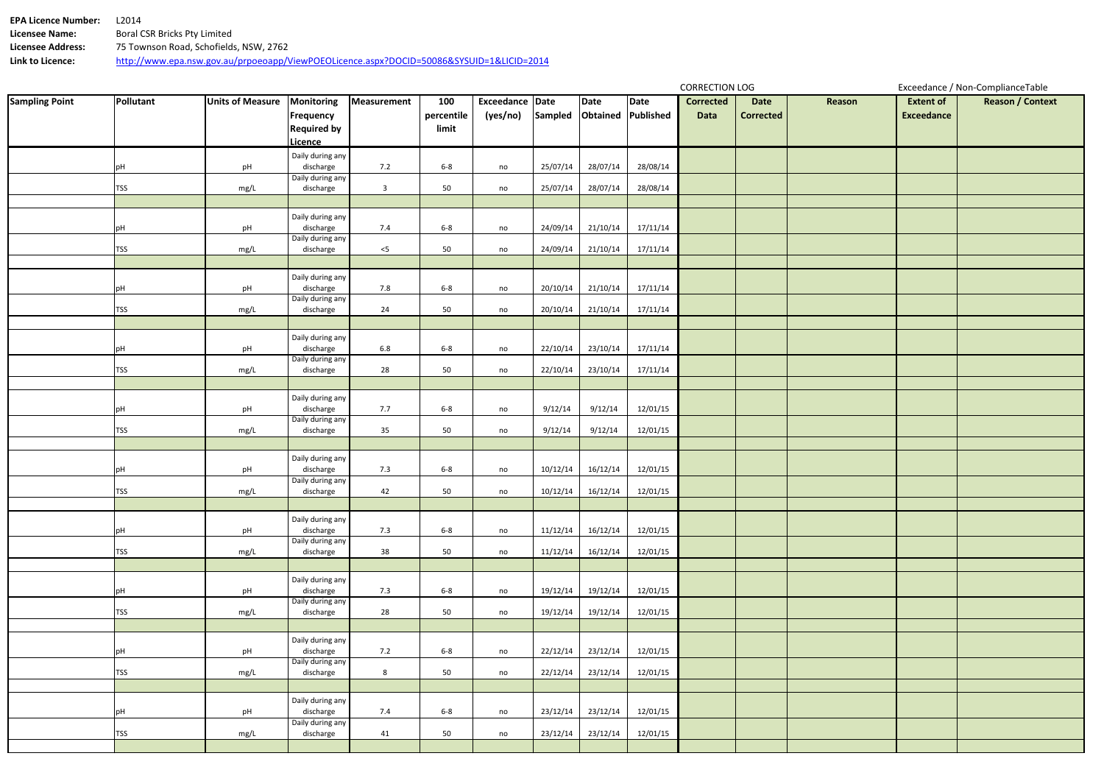| <b>EPA Licence Number:</b> | I 2014                                                                                   |
|----------------------------|------------------------------------------------------------------------------------------|
| Licensee Name:             | Boral CSR Bricks Pty Limited                                                             |
| Licensee Address:          | 75 Townson Road, Schofields, NSW, 2762                                                   |
| Link to Licence:           | http://www.epa.nsw.gov.au/prpoeoapp/ViewPOEOLicence.aspx?DOCID=50086&SYSUID=1&LICID=2014 |

| <b>Sampling Point</b> | Pollutant  | <b>Units of Measure</b> | Monitoring                             | Measurement             | 100        | Exceedance Date                     |          | Date     | Date     | 55111511511505<br><b>Corrected</b> | <b>Date</b>      | Reason | <b>Extent of</b>  | Executative, Terr compliance rasic<br><b>Reason / Context</b> |
|-----------------------|------------|-------------------------|----------------------------------------|-------------------------|------------|-------------------------------------|----------|----------|----------|------------------------------------|------------------|--------|-------------------|---------------------------------------------------------------|
|                       |            |                         |                                        |                         | percentile | (yes/no) Sampled Obtained Published |          |          |          | Data                               | <b>Corrected</b> |        | <b>Exceedance</b> |                                                               |
|                       |            |                         | <b>Frequency</b><br><b>Required by</b> |                         | limit      |                                     |          |          |          |                                    |                  |        |                   |                                                               |
|                       |            |                         | Licence                                |                         |            |                                     |          |          |          |                                    |                  |        |                   |                                                               |
|                       |            |                         | Daily during any                       |                         |            |                                     |          |          |          |                                    |                  |        |                   |                                                               |
|                       |            | pH                      | discharge                              | 7.2                     | $6 - 8$    | no                                  | 25/07/14 | 28/07/14 | 28/08/14 |                                    |                  |        |                   |                                                               |
|                       |            |                         | Daily during any                       |                         |            |                                     |          |          |          |                                    |                  |        |                   |                                                               |
|                       | <b>TSS</b> | mg/L                    | discharge                              | $\overline{\mathbf{3}}$ | 50         | no                                  | 25/07/14 | 28/07/14 | 28/08/14 |                                    |                  |        |                   |                                                               |
|                       |            |                         | Daily during any                       |                         |            |                                     |          |          |          |                                    |                  |        |                   |                                                               |
|                       | рH         | pH                      | discharge                              | 7.4                     | $6-8$      | no                                  | 24/09/14 | 21/10/14 | 17/11/14 |                                    |                  |        |                   |                                                               |
|                       |            |                         | Daily during any                       |                         |            |                                     |          |          |          |                                    |                  |        |                   |                                                               |
|                       | <b>TSS</b> | mg/L                    | discharge                              | $<$ 5                   | 50         | no                                  | 24/09/14 | 21/10/14 | 17/11/14 |                                    |                  |        |                   |                                                               |
|                       |            |                         |                                        |                         |            |                                     |          |          |          |                                    |                  |        |                   |                                                               |
|                       | рH         | pH                      | Daily during any<br>discharge          | 7.8                     | $6 - 8$    | no                                  | 20/10/14 | 21/10/14 | 17/11/14 |                                    |                  |        |                   |                                                               |
|                       |            |                         | Daily during any                       |                         |            |                                     |          |          |          |                                    |                  |        |                   |                                                               |
|                       | <b>TSS</b> | mg/L                    | discharge                              | 24                      | 50         | no                                  | 20/10/14 | 21/10/14 | 17/11/14 |                                    |                  |        |                   |                                                               |
|                       |            |                         |                                        |                         |            |                                     |          |          |          |                                    |                  |        |                   |                                                               |
|                       |            |                         | Daily during any                       |                         |            |                                     |          |          |          |                                    |                  |        |                   |                                                               |
|                       | рH         | pH                      | discharge<br>Daily during any          | $6.8\,$                 | $6-8$      | no                                  | 22/10/14 | 23/10/14 | 17/11/14 |                                    |                  |        |                   |                                                               |
|                       | <b>TSS</b> | mg/L                    | discharge                              | 28                      | 50         | no                                  | 22/10/14 | 23/10/14 | 17/11/14 |                                    |                  |        |                   |                                                               |
|                       |            |                         |                                        |                         |            |                                     |          |          |          |                                    |                  |        |                   |                                                               |
|                       |            |                         | Daily during any                       |                         |            |                                     |          |          |          |                                    |                  |        |                   |                                                               |
|                       |            | pH                      | discharge                              | 7.7                     | $6-8$      | no                                  | 9/12/14  | 9/12/14  | 12/01/15 |                                    |                  |        |                   |                                                               |
|                       | <b>TSS</b> | mg/L                    | Daily during any<br>discharge          | $35\phantom{a}$         | 50         | no                                  | 9/12/14  | 9/12/14  | 12/01/15 |                                    |                  |        |                   |                                                               |
|                       |            |                         |                                        |                         |            |                                     |          |          |          |                                    |                  |        |                   |                                                               |
|                       |            |                         | Daily during any                       |                         |            |                                     |          |          |          |                                    |                  |        |                   |                                                               |
|                       | эH         | pH                      | discharge                              | 7.3                     | $6 - 8$    | no                                  | 10/12/14 | 16/12/14 | 12/01/15 |                                    |                  |        |                   |                                                               |
|                       | <b>TSS</b> |                         | Daily during any<br>discharge          | 42                      | 50         |                                     | 10/12/14 | 16/12/14 | 12/01/15 |                                    |                  |        |                   |                                                               |
|                       |            | mg/L                    |                                        |                         |            | no                                  |          |          |          |                                    |                  |        |                   |                                                               |
|                       |            |                         | Daily during any                       |                         |            |                                     |          |          |          |                                    |                  |        |                   |                                                               |
|                       | pН         | pH                      | discharge                              | 7.3                     | $6 - 8$    | no                                  | 11/12/14 | 16/12/14 | 12/01/15 |                                    |                  |        |                   |                                                               |
|                       |            |                         | Daily during any                       |                         |            |                                     |          |          |          |                                    |                  |        |                   |                                                               |
|                       | <b>TSS</b> | mg/L                    | discharge                              | 38                      | 50         | no                                  | 11/12/14 | 16/12/14 | 12/01/15 |                                    |                  |        |                   |                                                               |
|                       |            |                         | Daily during any                       |                         |            |                                     |          |          |          |                                    |                  |        |                   |                                                               |
|                       | pH         | pH                      | discharge                              | 7.3                     | $6 - 8$    | no                                  | 19/12/14 | 19/12/14 | 12/01/15 |                                    |                  |        |                   |                                                               |
|                       |            |                         | Daily during any                       |                         |            |                                     |          |          |          |                                    |                  |        |                   |                                                               |
|                       | <b>TSS</b> | mg/L                    | discharge                              | 28                      | 50         | no                                  | 19/12/14 | 19/12/14 | 12/01/15 |                                    |                  |        |                   |                                                               |
|                       |            |                         |                                        |                         |            |                                     |          |          |          |                                    |                  |        |                   |                                                               |
|                       | рH         | pH                      | Daily during any<br>discharge          | 7.2                     | $6 - 8$    | no                                  | 22/12/14 | 23/12/14 | 12/01/15 |                                    |                  |        |                   |                                                               |
|                       |            |                         | Daily during any                       |                         |            |                                     |          |          |          |                                    |                  |        |                   |                                                               |
|                       | <b>TSS</b> | mg/L                    | discharge                              | $8\phantom{.0}$         | 50         | no                                  | 22/12/14 | 23/12/14 | 12/01/15 |                                    |                  |        |                   |                                                               |
|                       |            |                         |                                        |                         |            |                                     |          |          |          |                                    |                  |        |                   |                                                               |
|                       |            |                         | Daily during any                       |                         |            |                                     |          |          |          |                                    |                  |        |                   |                                                               |
|                       | pН         | pH                      | discharge<br>Daily during any          | 7.4                     | $6 - 8$    | no                                  | 23/12/14 | 23/12/14 | 12/01/15 |                                    |                  |        |                   |                                                               |
|                       | <b>TSS</b> | mg/L                    | discharge                              | 41                      | 50         | no                                  | 23/12/14 | 23/12/14 | 12/01/15 |                                    |                  |        |                   |                                                               |
|                       |            |                         |                                        |                         |            |                                     |          |          |          |                                    |                  |        |                   |                                                               |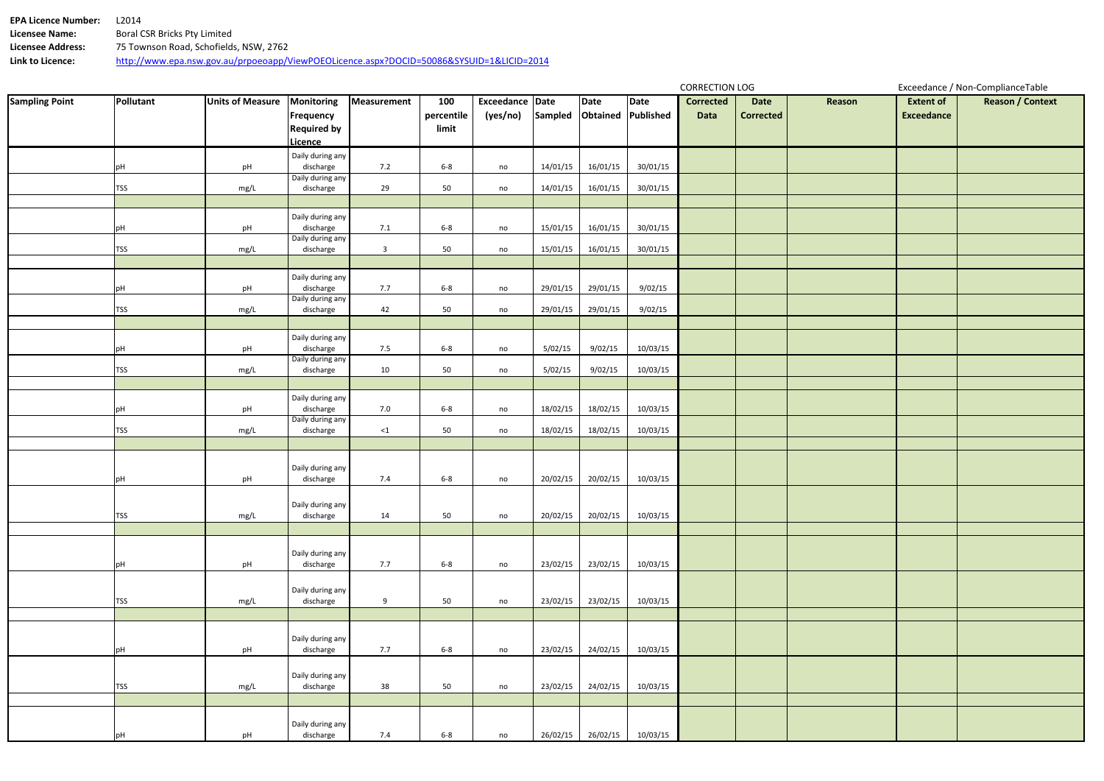| <b>EPA Licence Number:</b> | I 2014                                                                                   |
|----------------------------|------------------------------------------------------------------------------------------|
| Licensee Name:             | Boral CSR Bricks Pty Limited                                                             |
| Licensee Address:          | 75 Townson Road, Schofields, NSW, 2762                                                   |
| Link to Licence:           | http://www.epa.nsw.gov.au/prpoeoapp/ViewPOEOLicence.aspx?DOCID=50086&SYSUID=1&LICID=2014 |

| <b>Sampling Point</b> | Pollutant  | <b>Units of Measure</b> | Monitoring                    | Measurement             | 100        | Exceedance Date                     |          | Date     | Date     | <b>COMMEDITION FOO</b><br><b>Corrected</b> | <b>Date</b>      | Reason | <b>Extent of</b>  | Executative, Non-compliance rabic<br><b>Reason / Context</b> |
|-----------------------|------------|-------------------------|-------------------------------|-------------------------|------------|-------------------------------------|----------|----------|----------|--------------------------------------------|------------------|--------|-------------------|--------------------------------------------------------------|
|                       |            |                         |                               |                         |            |                                     |          |          |          |                                            |                  |        |                   |                                                              |
|                       |            |                         | Frequency                     |                         | percentile | (yes/no) Sampled Obtained Published |          |          |          | Data                                       | <b>Corrected</b> |        | <b>Exceedance</b> |                                                              |
|                       |            |                         | <b>Required by</b>            |                         | limit      |                                     |          |          |          |                                            |                  |        |                   |                                                              |
|                       |            |                         | Licence                       |                         |            |                                     |          |          |          |                                            |                  |        |                   |                                                              |
|                       |            |                         | Daily during any              |                         |            |                                     |          |          |          |                                            |                  |        |                   |                                                              |
|                       | pH         | pH                      | discharge                     | 7.2                     | $6-8$      | no                                  | 14/01/15 | 16/01/15 | 30/01/15 |                                            |                  |        |                   |                                                              |
|                       |            |                         | Daily during any              |                         |            |                                     |          |          |          |                                            |                  |        |                   |                                                              |
|                       | <b>TSS</b> | mg/L                    | discharge                     | 29                      | 50         | no                                  | 14/01/15 | 16/01/15 | 30/01/15 |                                            |                  |        |                   |                                                              |
|                       |            |                         |                               |                         |            |                                     |          |          |          |                                            |                  |        |                   |                                                              |
|                       |            |                         | Daily during any              |                         |            |                                     |          |          |          |                                            |                  |        |                   |                                                              |
|                       | pH         | pH                      | discharge                     | 7.1                     | $6 - 8$    | no                                  | 15/01/15 | 16/01/15 | 30/01/15 |                                            |                  |        |                   |                                                              |
|                       |            |                         | Daily during any              |                         |            |                                     |          |          |          |                                            |                  |        |                   |                                                              |
|                       | <b>TSS</b> | mg/L                    | discharge                     | $\overline{\mathbf{3}}$ | 50         | no                                  | 15/01/15 | 16/01/15 | 30/01/15 |                                            |                  |        |                   |                                                              |
|                       |            |                         |                               |                         |            |                                     |          |          |          |                                            |                  |        |                   |                                                              |
|                       |            |                         | Daily during any              |                         |            |                                     |          |          |          |                                            |                  |        |                   |                                                              |
|                       | pH         | pH                      | discharge                     | 7.7                     | $6 - 8$    | no                                  | 29/01/15 | 29/01/15 | 9/02/15  |                                            |                  |        |                   |                                                              |
|                       |            |                         | Daily during any              |                         |            |                                     |          |          |          |                                            |                  |        |                   |                                                              |
|                       | <b>TSS</b> | mg/L                    | discharge                     | 42                      | 50         | no                                  | 29/01/15 | 29/01/15 | 9/02/15  |                                            |                  |        |                   |                                                              |
|                       |            |                         |                               |                         |            |                                     |          |          |          |                                            |                  |        |                   |                                                              |
|                       |            |                         | Daily during any              |                         |            |                                     |          |          |          |                                            |                  |        |                   |                                                              |
|                       | pH         | pH                      | discharge                     | 7.5                     | $6-8$      | no                                  | 5/02/15  | 9/02/15  | 10/03/15 |                                            |                  |        |                   |                                                              |
|                       |            |                         | Daily during any              |                         |            |                                     |          |          |          |                                            |                  |        |                   |                                                              |
|                       | <b>TSS</b> | mg/L                    | discharge                     | 10                      | 50         | no                                  | 5/02/15  | 9/02/15  | 10/03/15 |                                            |                  |        |                   |                                                              |
|                       |            |                         |                               |                         |            |                                     |          |          |          |                                            |                  |        |                   |                                                              |
|                       |            |                         | Daily during any              |                         |            |                                     |          |          |          |                                            |                  |        |                   |                                                              |
|                       | pH         | pH                      | discharge                     | 7.0                     | $6-8$      | no                                  | 18/02/15 | 18/02/15 | 10/03/15 |                                            |                  |        |                   |                                                              |
|                       | <b>TSS</b> | mg/L                    | Daily during any<br>discharge | $\leq 1$                | 50         | no                                  | 18/02/15 | 18/02/15 | 10/03/15 |                                            |                  |        |                   |                                                              |
|                       |            |                         |                               |                         |            |                                     |          |          |          |                                            |                  |        |                   |                                                              |
|                       |            |                         |                               |                         |            |                                     |          |          |          |                                            |                  |        |                   |                                                              |
|                       |            |                         | Daily during any              |                         |            |                                     |          |          |          |                                            |                  |        |                   |                                                              |
|                       | pH         | pH                      | discharge                     | 7.4                     | $6 - 8$    | no                                  | 20/02/15 | 20/02/15 | 10/03/15 |                                            |                  |        |                   |                                                              |
|                       |            |                         |                               |                         |            |                                     |          |          |          |                                            |                  |        |                   |                                                              |
|                       |            |                         | Daily during any              |                         |            |                                     |          |          |          |                                            |                  |        |                   |                                                              |
|                       | <b>TSS</b> | mg/L                    | discharge                     | 14                      | 50         | no                                  | 20/02/15 | 20/02/15 | 10/03/15 |                                            |                  |        |                   |                                                              |
|                       |            |                         |                               |                         |            |                                     |          |          |          |                                            |                  |        |                   |                                                              |
|                       |            |                         |                               |                         |            |                                     |          |          |          |                                            |                  |        |                   |                                                              |
|                       |            |                         | Daily during any              |                         |            |                                     |          |          |          |                                            |                  |        |                   |                                                              |
|                       | pH         | pH                      | discharge                     | 7.7                     | $6-8$      | no                                  | 23/02/15 | 23/02/15 | 10/03/15 |                                            |                  |        |                   |                                                              |
|                       |            |                         |                               |                         |            |                                     |          |          |          |                                            |                  |        |                   |                                                              |
|                       |            |                         | Daily during any              |                         |            |                                     |          |          |          |                                            |                  |        |                   |                                                              |
|                       | <b>TSS</b> | mg/L                    | discharge                     | 9                       | 50         | no                                  | 23/02/15 | 23/02/15 | 10/03/15 |                                            |                  |        |                   |                                                              |
|                       |            |                         |                               |                         |            |                                     |          |          |          |                                            |                  |        |                   |                                                              |
|                       |            |                         |                               |                         |            |                                     |          |          |          |                                            |                  |        |                   |                                                              |
|                       |            |                         | Daily during any              |                         |            |                                     |          |          |          |                                            |                  |        |                   |                                                              |
|                       | pH         | pH                      | discharge                     | 7.7                     | $6 - 8$    | no                                  | 23/02/15 | 24/02/15 | 10/03/15 |                                            |                  |        |                   |                                                              |
|                       |            |                         |                               |                         |            |                                     |          |          |          |                                            |                  |        |                   |                                                              |
|                       |            |                         | Daily during any              |                         |            |                                     |          |          |          |                                            |                  |        |                   |                                                              |
|                       | <b>TSS</b> | mg/L                    | discharge                     | 38                      | 50         | no                                  | 23/02/15 | 24/02/15 | 10/03/15 |                                            |                  |        |                   |                                                              |
|                       |            |                         |                               |                         |            |                                     |          |          |          |                                            |                  |        |                   |                                                              |
|                       |            |                         |                               |                         |            |                                     |          |          |          |                                            |                  |        |                   |                                                              |
|                       |            |                         | Daily during any              |                         |            |                                     |          |          |          |                                            |                  |        |                   |                                                              |
|                       | pH         | pH                      | discharge                     | 7.4                     | $6 - 8$    | no                                  | 26/02/15 | 26/02/15 | 10/03/15 |                                            |                  |        |                   |                                                              |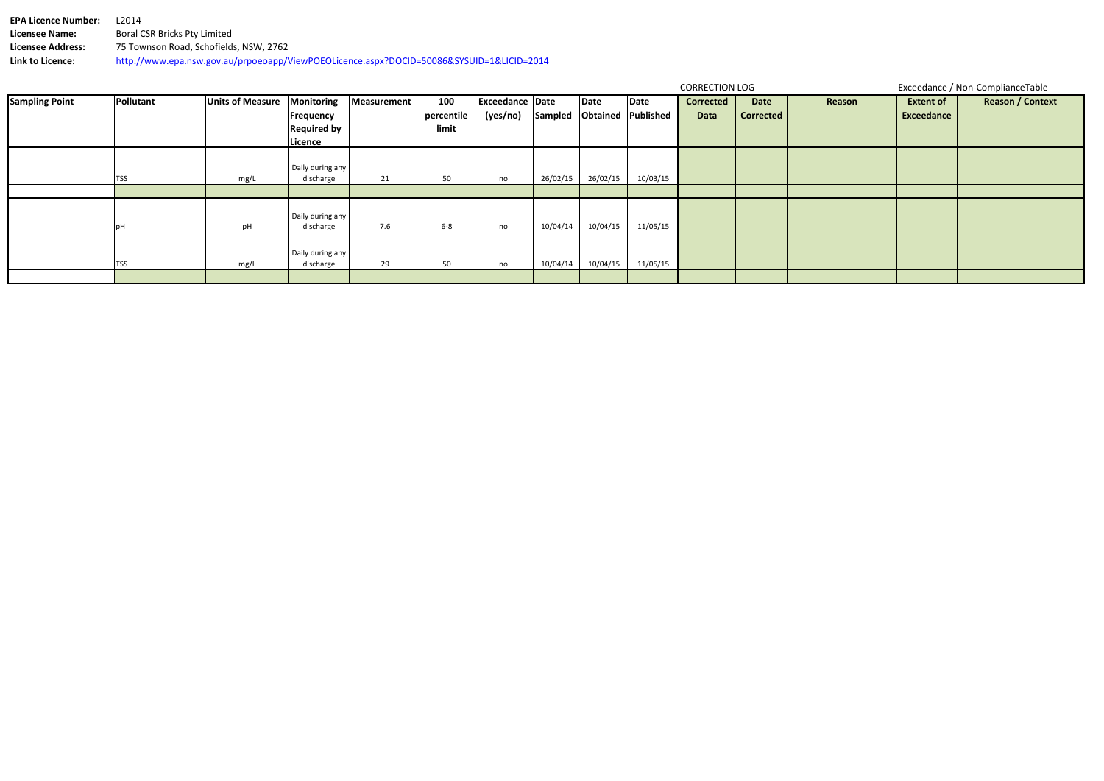**EPA Licence Number:** L2014<br>**Licensee Name:** Boral C **Licensee Name:** Boral CSR Bricks Pty Limited **Licensee Address:** 75 Townson Road, Schofields, NSW, 2762 **Link to Licence:** http://www.epa.nsw.gov.au/prpoeoapp/ViewPOEOLicence.aspx?DOCID=50086&SYSUID=1&LICID=2014

| ۱on | <b>Extent of</b><br><b>Exceedance</b> | <b>Reason / Context</b> |
|-----|---------------------------------------|-------------------------|
|     |                                       |                         |
|     |                                       |                         |

| <b>Sampling Point</b> | Pollutant   | <b>Units of Measure</b> | Monitoring<br>Frequency       | Measurement | 100<br>percentile | <b>Exceedance Date</b><br>(yes/no) | Sampled  | Date<br>Obtained | Date<br>Published | <b>Corrected</b><br>Data | Date<br><b>Corrected</b> | Reas |
|-----------------------|-------------|-------------------------|-------------------------------|-------------|-------------------|------------------------------------|----------|------------------|-------------------|--------------------------|--------------------------|------|
|                       |             |                         | <b>Required by</b><br>Licence |             | limit             |                                    |          |                  |                   |                          |                          |      |
|                       |             |                         |                               |             |                   |                                    |          |                  |                   |                          |                          |      |
|                       | <b>ITSS</b> | mg/L                    | Daily during any<br>discharge | 21          | 50                | no                                 | 26/02/15 | 26/02/15         | 10/03/15          |                          |                          |      |
|                       |             |                         |                               |             |                   |                                    |          |                  |                   |                          |                          |      |
|                       | pH          | pH                      | Daily during any<br>discharge | 7.6         | $6-8$             | no                                 | 10/04/14 | 10/04/15         | 11/05/15          |                          |                          |      |
|                       | <b>TSS</b>  | mg/L                    | Daily during any<br>discharge | 29          | 50                | no                                 | 10/04/14 | 10/04/15         | 11/05/15          |                          |                          |      |
|                       |             |                         |                               |             |                   |                                    |          |                  |                   |                          |                          |      |